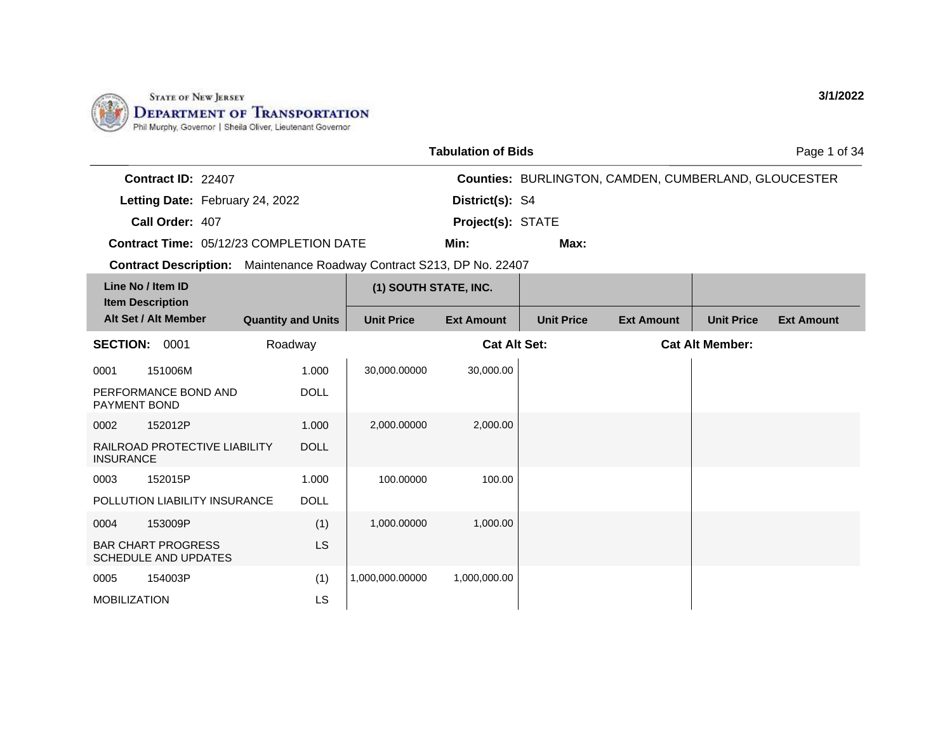

LS

MOBILIZATION

|                                                                              |                           |                       | <b>Tabulation of Bids</b> |                   |                                                      |                        | Page 1 of 34      |
|------------------------------------------------------------------------------|---------------------------|-----------------------|---------------------------|-------------------|------------------------------------------------------|------------------------|-------------------|
| Contract ID: 22407                                                           |                           |                       |                           |                   | Counties: BURLINGTON, CAMDEN, CUMBERLAND, GLOUCESTER |                        |                   |
| Letting Date: February 24, 2022                                              |                           |                       | District(s): S4           |                   |                                                      |                        |                   |
| Call Order: 407                                                              |                           |                       | Project(s): STATE         |                   |                                                      |                        |                   |
| Contract Time: 05/12/23 COMPLETION DATE                                      |                           |                       | Min:                      | Max:              |                                                      |                        |                   |
| <b>Contract Description:</b> Maintenance Roadway Contract S213, DP No. 22407 |                           |                       |                           |                   |                                                      |                        |                   |
| Line No / Item ID                                                            |                           | (1) SOUTH STATE, INC. |                           |                   |                                                      |                        |                   |
| <b>Item Description</b>                                                      |                           |                       |                           |                   |                                                      |                        |                   |
| Alt Set / Alt Member                                                         | <b>Quantity and Units</b> | <b>Unit Price</b>     | <b>Ext Amount</b>         | <b>Unit Price</b> | <b>Ext Amount</b>                                    | <b>Unit Price</b>      | <b>Ext Amount</b> |
| <b>SECTION: 0001</b>                                                         | Roadway                   |                       | <b>Cat Alt Set:</b>       |                   |                                                      | <b>Cat Alt Member:</b> |                   |
| 151006M<br>0001                                                              | 1.000                     | 30,000.00000          | 30,000.00                 |                   |                                                      |                        |                   |
| PERFORMANCE BOND AND<br>PAYMENT BOND                                         | <b>DOLL</b>               |                       |                           |                   |                                                      |                        |                   |
| 152012P<br>0002                                                              | 1.000                     | 2,000.00000           | 2,000.00                  |                   |                                                      |                        |                   |
| RAILROAD PROTECTIVE LIABILITY<br><b>INSURANCE</b>                            | <b>DOLL</b>               |                       |                           |                   |                                                      |                        |                   |
| 152015P<br>0003                                                              | 1.000                     | 100.00000             | 100.00                    |                   |                                                      |                        |                   |
| POLLUTION LIABILITY INSURANCE                                                | <b>DOLL</b>               |                       |                           |                   |                                                      |                        |                   |
| 153009P<br>0004                                                              | (1)                       | 1,000.00000           | 1,000.00                  |                   |                                                      |                        |                   |
| <b>BAR CHART PROGRESS</b><br><b>SCHEDULE AND UPDATES</b>                     | LS.                       |                       |                           |                   |                                                      |                        |                   |
| 0005<br>154003P                                                              | (1)                       | 1,000,000.00000       | 1,000,000.00              |                   |                                                      |                        |                   |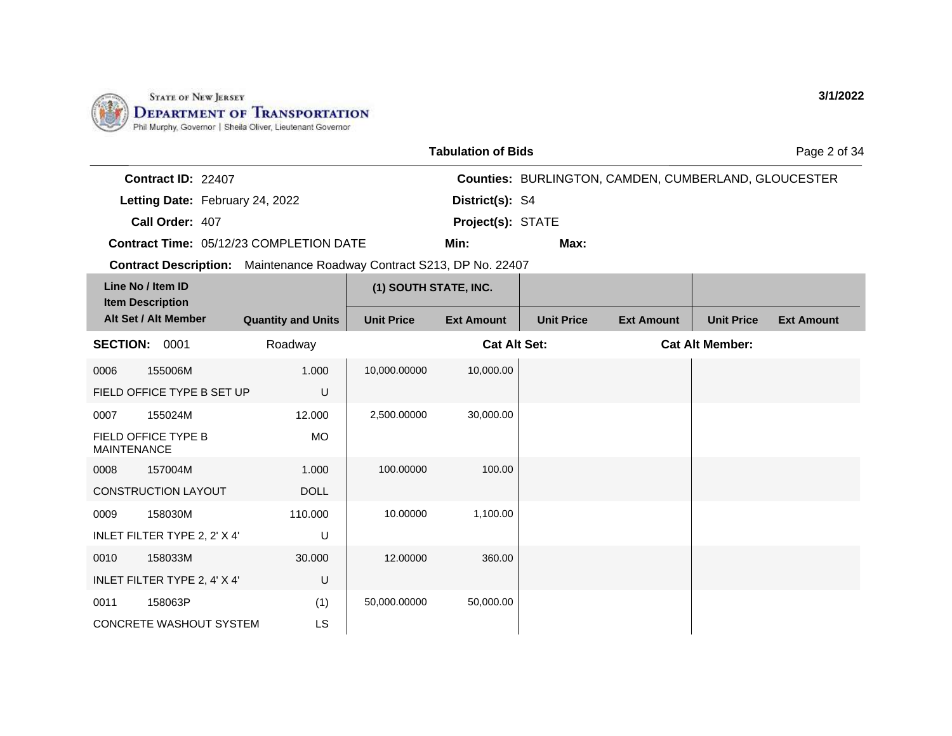

|                                              |                                                                              |                       | <b>Tabulation of Bids</b> |                   |                                                             |                        | Page 2 of 34      |
|----------------------------------------------|------------------------------------------------------------------------------|-----------------------|---------------------------|-------------------|-------------------------------------------------------------|------------------------|-------------------|
| Contract ID: 22407                           |                                                                              |                       |                           |                   | <b>Counties: BURLINGTON, CAMDEN, CUMBERLAND, GLOUCESTER</b> |                        |                   |
| Letting Date: February 24, 2022              |                                                                              |                       | District(s): S4           |                   |                                                             |                        |                   |
| Call Order: 407                              |                                                                              |                       | Project(s): STATE         |                   |                                                             |                        |                   |
|                                              | <b>Contract Time: 05/12/23 COMPLETION DATE</b>                               |                       | Min:                      | Max:              |                                                             |                        |                   |
|                                              | <b>Contract Description:</b> Maintenance Roadway Contract S213, DP No. 22407 |                       |                           |                   |                                                             |                        |                   |
| Line No / Item ID<br><b>Item Description</b> |                                                                              | (1) SOUTH STATE, INC. |                           |                   |                                                             |                        |                   |
| Alt Set / Alt Member                         | <b>Quantity and Units</b>                                                    | <b>Unit Price</b>     | <b>Ext Amount</b>         | <b>Unit Price</b> | <b>Ext Amount</b>                                           | <b>Unit Price</b>      | <b>Ext Amount</b> |
| <b>SECTION: 0001</b>                         | Roadway                                                                      |                       | <b>Cat Alt Set:</b>       |                   |                                                             | <b>Cat Alt Member:</b> |                   |
| 155006M<br>0006                              | 1.000                                                                        | 10,000.00000          | 10,000.00                 |                   |                                                             |                        |                   |
| FIELD OFFICE TYPE B SET UP                   | U                                                                            |                       |                           |                   |                                                             |                        |                   |
| 155024M<br>0007                              | 12.000                                                                       | 2,500.00000           | 30,000.00                 |                   |                                                             |                        |                   |
| FIELD OFFICE TYPE B<br><b>MAINTENANCE</b>    | <b>MO</b>                                                                    |                       |                           |                   |                                                             |                        |                   |
| 157004M<br>0008                              | 1.000                                                                        | 100.00000             | 100.00                    |                   |                                                             |                        |                   |
| <b>CONSTRUCTION LAYOUT</b>                   | <b>DOLL</b>                                                                  |                       |                           |                   |                                                             |                        |                   |
| 158030M<br>0009                              | 110.000                                                                      | 10.00000              | 1,100.00                  |                   |                                                             |                        |                   |
| INLET FILTER TYPE 2, 2' X 4'                 | U                                                                            |                       |                           |                   |                                                             |                        |                   |
| 158033M<br>0010                              | 30.000                                                                       | 12.00000              | 360.00                    |                   |                                                             |                        |                   |
| INLET FILTER TYPE 2, 4' X 4'                 | U                                                                            |                       |                           |                   |                                                             |                        |                   |
| 158063P<br>0011                              | (1)                                                                          | 50,000.00000          | 50,000.00                 |                   |                                                             |                        |                   |
| <b>CONCRETE WASHOUT SYSTEM</b>               | <b>LS</b>                                                                    |                       |                           |                   |                                                             |                        |                   |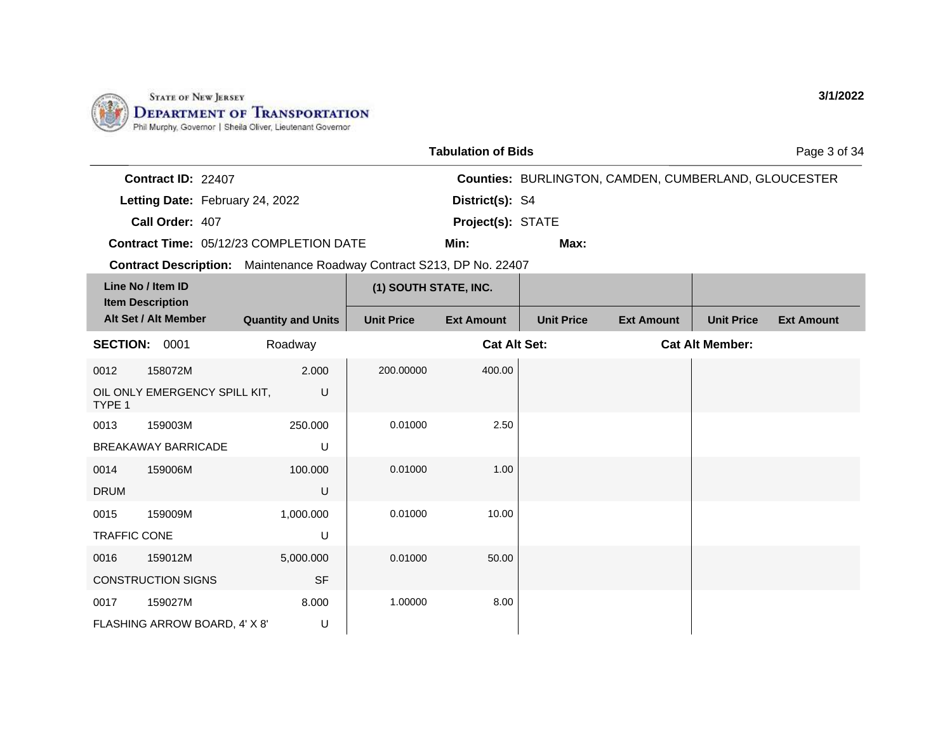

1,000.000

5,000.000

U

SF

8.000 U

0015 159009M TRAFFIC CONE

0016 159012M

0017 159027M

CONSTRUCTION SIGNS

FLASHING ARROW BOARD, 4' X 8'

|                                                                       |                           |                       | <b>Tabulation of Bids</b> |                                                             |                   |                        | Page 3 of 34      |
|-----------------------------------------------------------------------|---------------------------|-----------------------|---------------------------|-------------------------------------------------------------|-------------------|------------------------|-------------------|
| Contract ID: 22407                                                    |                           |                       |                           | <b>Counties: BURLINGTON, CAMDEN, CUMBERLAND, GLOUCESTER</b> |                   |                        |                   |
| Letting Date: February 24, 2022                                       |                           |                       | District(s): S4           |                                                             |                   |                        |                   |
| Call Order: 407                                                       |                           |                       | Project(s): STATE         |                                                             |                   |                        |                   |
| Contract Time: 05/12/23 COMPLETION DATE                               |                           |                       | Min:                      | Max:                                                        |                   |                        |                   |
| Contract Description: Maintenance Roadway Contract S213, DP No. 22407 |                           |                       |                           |                                                             |                   |                        |                   |
| Line No / Item ID<br><b>Item Description</b>                          |                           | (1) SOUTH STATE, INC. |                           |                                                             |                   |                        |                   |
| Alt Set / Alt Member                                                  | <b>Quantity and Units</b> | <b>Unit Price</b>     | <b>Ext Amount</b>         | <b>Unit Price</b>                                           | <b>Ext Amount</b> | <b>Unit Price</b>      | <b>Ext Amount</b> |
| <b>SECTION:</b><br>0001                                               | Roadway                   |                       | <b>Cat Alt Set:</b>       |                                                             |                   | <b>Cat Alt Member:</b> |                   |
| 0012<br>158072M                                                       | 2.000                     | 200,00000             | 400.00                    |                                                             |                   |                        |                   |
| OIL ONLY EMERGENCY SPILL KIT,<br>TYPE 1                               | U                         |                       |                           |                                                             |                   |                        |                   |
| 0013<br>159003M                                                       | 250.000                   | 0.01000               | 2.50                      |                                                             |                   |                        |                   |
| <b>BREAKAWAY BARRICADE</b>                                            | U                         |                       |                           |                                                             |                   |                        |                   |
| 159006M<br>0014                                                       | 100.000                   | 0.01000               | 1.00                      |                                                             |                   |                        |                   |
| <b>DRUM</b>                                                           | U                         |                       |                           |                                                             |                   |                        |                   |

0.01000 10.00

0.01000 50.00

1.00000 8.00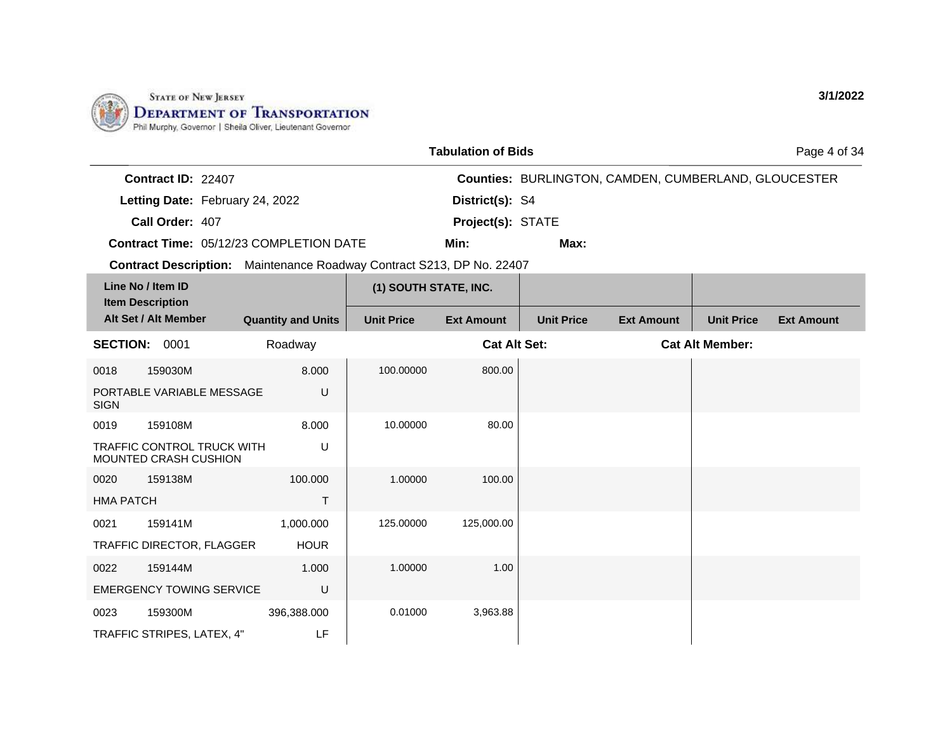

|                  |                                                            |                                                                       |                       | <b>Tabulation of Bids</b> |                   |                                                             |                        | Page 4 of 34      |
|------------------|------------------------------------------------------------|-----------------------------------------------------------------------|-----------------------|---------------------------|-------------------|-------------------------------------------------------------|------------------------|-------------------|
|                  | Contract ID: 22407                                         |                                                                       |                       |                           |                   | <b>Counties: BURLINGTON, CAMDEN, CUMBERLAND, GLOUCESTER</b> |                        |                   |
|                  | Letting Date: February 24, 2022                            |                                                                       |                       | District(s): S4           |                   |                                                             |                        |                   |
|                  | Call Order: 407                                            |                                                                       |                       | Project(s): STATE         |                   |                                                             |                        |                   |
|                  |                                                            | Contract Time: 05/12/23 COMPLETION DATE                               |                       | Min:                      | Max:              |                                                             |                        |                   |
|                  |                                                            | Contract Description: Maintenance Roadway Contract S213, DP No. 22407 |                       |                           |                   |                                                             |                        |                   |
|                  | Line No / Item ID                                          |                                                                       | (1) SOUTH STATE, INC. |                           |                   |                                                             |                        |                   |
|                  | <b>Item Description</b><br>Alt Set / Alt Member            | <b>Quantity and Units</b>                                             | <b>Unit Price</b>     | <b>Ext Amount</b>         | <b>Unit Price</b> | <b>Ext Amount</b>                                           | <b>Unit Price</b>      | <b>Ext Amount</b> |
|                  | SECTION: 0001                                              | Roadway                                                               |                       | <b>Cat Alt Set:</b>       |                   |                                                             | <b>Cat Alt Member:</b> |                   |
| 0018             | 159030M                                                    | 8.000                                                                 | 100.00000             | 800.00                    |                   |                                                             |                        |                   |
| <b>SIGN</b>      | PORTABLE VARIABLE MESSAGE                                  | U                                                                     |                       |                           |                   |                                                             |                        |                   |
| 0019             | 159108M                                                    | 8.000                                                                 | 10.00000              | 80.00                     |                   |                                                             |                        |                   |
|                  | <b>TRAFFIC CONTROL TRUCK WITH</b><br>MOUNTED CRASH CUSHION | U                                                                     |                       |                           |                   |                                                             |                        |                   |
| 0020             | 159138M                                                    | 100.000                                                               | 1.00000               | 100.00                    |                   |                                                             |                        |                   |
| <b>HMA PATCH</b> |                                                            | T.                                                                    |                       |                           |                   |                                                             |                        |                   |
| 0021             | 159141M                                                    | 1,000.000                                                             | 125.00000             | 125,000.00                |                   |                                                             |                        |                   |
|                  | TRAFFIC DIRECTOR, FLAGGER                                  | <b>HOUR</b>                                                           |                       |                           |                   |                                                             |                        |                   |
| 0022             | 159144M                                                    | 1.000                                                                 | 1.00000               | 1.00                      |                   |                                                             |                        |                   |
|                  | <b>EMERGENCY TOWING SERVICE</b>                            | U                                                                     |                       |                           |                   |                                                             |                        |                   |
| 0023             | 159300M                                                    | 396,388.000                                                           | 0.01000               | 3,963.88                  |                   |                                                             |                        |                   |
|                  | TRAFFIC STRIPES, LATEX, 4"                                 | LF                                                                    |                       |                           |                   |                                                             |                        |                   |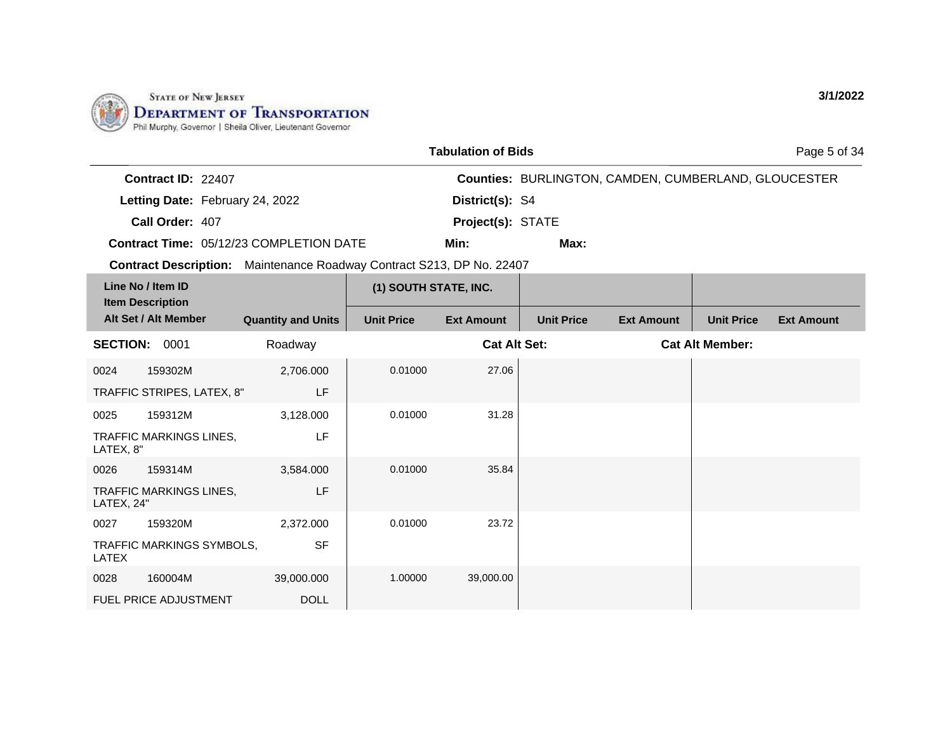

|                                                                       |                           |                       | <b>Tabulation of Bids</b> |                   |                                                             |                        | Page 5 of 34      |
|-----------------------------------------------------------------------|---------------------------|-----------------------|---------------------------|-------------------|-------------------------------------------------------------|------------------------|-------------------|
| Contract ID: 22407                                                    |                           |                       |                           |                   | <b>Counties: BURLINGTON, CAMDEN, CUMBERLAND, GLOUCESTER</b> |                        |                   |
| Letting Date: February 24, 2022                                       |                           |                       | District(s): S4           |                   |                                                             |                        |                   |
| Call Order: 407                                                       |                           |                       | Project(s): STATE         |                   |                                                             |                        |                   |
| Contract Time: 05/12/23 COMPLETION DATE                               |                           |                       | Min:                      | Max:              |                                                             |                        |                   |
| Contract Description: Maintenance Roadway Contract S213, DP No. 22407 |                           |                       |                           |                   |                                                             |                        |                   |
| Line No / Item ID<br><b>Item Description</b>                          |                           | (1) SOUTH STATE, INC. |                           |                   |                                                             |                        |                   |
| Alt Set / Alt Member                                                  | <b>Quantity and Units</b> | <b>Unit Price</b>     | <b>Ext Amount</b>         | <b>Unit Price</b> | <b>Ext Amount</b>                                           | <b>Unit Price</b>      | <b>Ext Amount</b> |
| <b>SECTION: 0001</b>                                                  | Roadway                   |                       | <b>Cat Alt Set:</b>       |                   |                                                             | <b>Cat Alt Member:</b> |                   |
| 0024<br>159302M                                                       | 2,706.000                 | 0.01000               | 27.06                     |                   |                                                             |                        |                   |
| TRAFFIC STRIPES, LATEX, 8"                                            | LF                        |                       |                           |                   |                                                             |                        |                   |
| 159312M<br>0025                                                       | 3,128.000                 | 0.01000               | 31.28                     |                   |                                                             |                        |                   |
| TRAFFIC MARKINGS LINES,<br>LATEX, 8"                                  | LF                        |                       |                           |                   |                                                             |                        |                   |
| 0026<br>159314M                                                       | 3,584.000                 | 0.01000               | 35.84                     |                   |                                                             |                        |                   |
| TRAFFIC MARKINGS LINES,<br>LATEX, 24"                                 | LF                        |                       |                           |                   |                                                             |                        |                   |
| 159320M<br>0027                                                       | 2,372.000                 | 0.01000               | 23.72                     |                   |                                                             |                        |                   |
| TRAFFIC MARKINGS SYMBOLS,<br>LATEX                                    | <b>SF</b>                 |                       |                           |                   |                                                             |                        |                   |
| 160004M<br>0028                                                       | 39,000.000                | 1.00000               | 39,000.00                 |                   |                                                             |                        |                   |
| <b>FUEL PRICE ADJUSTMENT</b>                                          | <b>DOLL</b>               |                       |                           |                   |                                                             |                        |                   |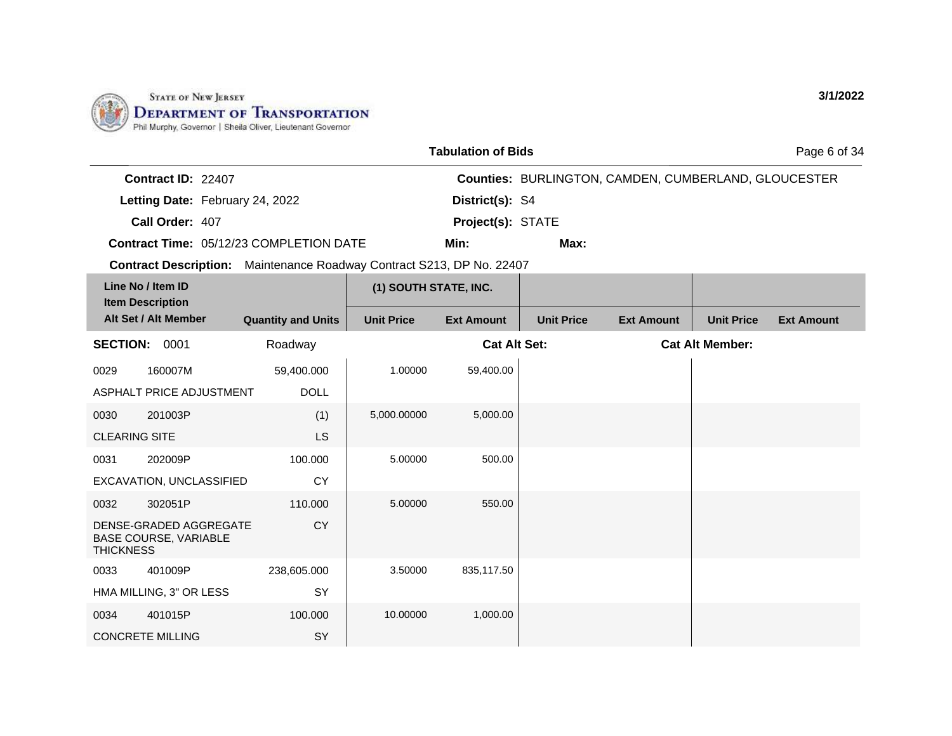

|                  |                                                        |                                                                       |                       | <b>Tabulation of Bids</b> |                   |                                                             |                        | Page 6 of 34      |
|------------------|--------------------------------------------------------|-----------------------------------------------------------------------|-----------------------|---------------------------|-------------------|-------------------------------------------------------------|------------------------|-------------------|
|                  | Contract ID: 22407                                     |                                                                       |                       |                           |                   | <b>Counties: BURLINGTON, CAMDEN, CUMBERLAND, GLOUCESTER</b> |                        |                   |
|                  | Letting Date: February 24, 2022                        |                                                                       |                       | District(s): S4           |                   |                                                             |                        |                   |
|                  | Call Order: 407                                        |                                                                       |                       | Project(s): STATE         |                   |                                                             |                        |                   |
|                  |                                                        | <b>Contract Time: 05/12/23 COMPLETION DATE</b>                        |                       | Min:                      | Max:              |                                                             |                        |                   |
|                  |                                                        | Contract Description: Maintenance Roadway Contract S213, DP No. 22407 |                       |                           |                   |                                                             |                        |                   |
|                  | Line No / Item ID<br><b>Item Description</b>           |                                                                       | (1) SOUTH STATE, INC. |                           |                   |                                                             |                        |                   |
|                  | Alt Set / Alt Member                                   | <b>Quantity and Units</b>                                             | <b>Unit Price</b>     | <b>Ext Amount</b>         | <b>Unit Price</b> | <b>Ext Amount</b>                                           | <b>Unit Price</b>      | <b>Ext Amount</b> |
|                  | <b>SECTION: 0001</b>                                   | Roadway                                                               |                       | <b>Cat Alt Set:</b>       |                   |                                                             | <b>Cat Alt Member:</b> |                   |
| 0029             | 160007M                                                | 59,400.000                                                            | 1.00000               | 59,400.00                 |                   |                                                             |                        |                   |
|                  | ASPHALT PRICE ADJUSTMENT                               | <b>DOLL</b>                                                           |                       |                           |                   |                                                             |                        |                   |
| 0030             | 201003P                                                | (1)                                                                   | 5,000.00000           | 5,000.00                  |                   |                                                             |                        |                   |
|                  | <b>CLEARING SITE</b>                                   | LS.                                                                   |                       |                           |                   |                                                             |                        |                   |
| 0031             | 202009P                                                | 100.000                                                               | 5.00000               | 500.00                    |                   |                                                             |                        |                   |
|                  | EXCAVATION, UNCLASSIFIED                               | <b>CY</b>                                                             |                       |                           |                   |                                                             |                        |                   |
| 0032             | 302051P                                                | 110.000                                                               | 5.00000               | 550.00                    |                   |                                                             |                        |                   |
| <b>THICKNESS</b> | DENSE-GRADED AGGREGATE<br><b>BASE COURSE, VARIABLE</b> | <b>CY</b>                                                             |                       |                           |                   |                                                             |                        |                   |
| 0033             | 401009P                                                | 238,605.000                                                           | 3.50000               | 835,117.50                |                   |                                                             |                        |                   |
|                  | HMA MILLING, 3" OR LESS                                | SY                                                                    |                       |                           |                   |                                                             |                        |                   |
| 0034             | 401015P                                                | 100.000                                                               | 10.00000              | 1,000.00                  |                   |                                                             |                        |                   |
|                  | <b>CONCRETE MILLING</b>                                | SY                                                                    |                       |                           |                   |                                                             |                        |                   |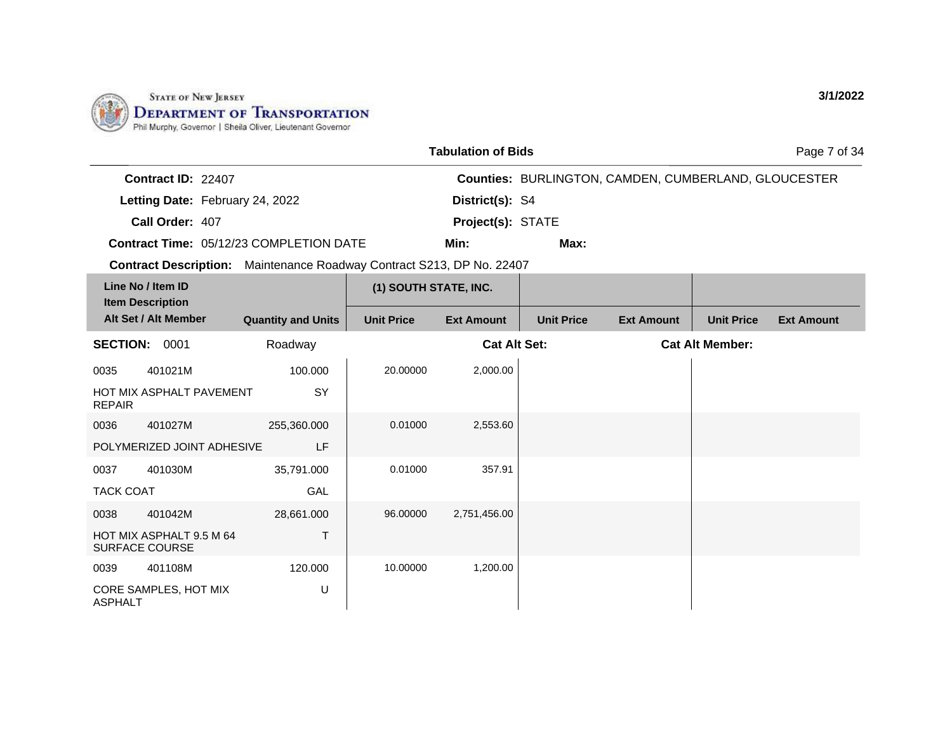

|                  |                                                   |                                                                       |                       | <b>Tabulation of Bids</b> |                   |                                                             |                        | Page 7 of 34      |
|------------------|---------------------------------------------------|-----------------------------------------------------------------------|-----------------------|---------------------------|-------------------|-------------------------------------------------------------|------------------------|-------------------|
|                  | Contract ID: 22407                                |                                                                       |                       |                           |                   | <b>Counties: BURLINGTON, CAMDEN, CUMBERLAND, GLOUCESTER</b> |                        |                   |
|                  | Letting Date: February 24, 2022                   |                                                                       |                       | District(s): S4           |                   |                                                             |                        |                   |
|                  | Call Order: 407                                   |                                                                       |                       | Project(s): STATE         |                   |                                                             |                        |                   |
|                  |                                                   | Contract Time: 05/12/23 COMPLETION DATE                               |                       | Min:                      | Max:              |                                                             |                        |                   |
|                  |                                                   | Contract Description: Maintenance Roadway Contract S213, DP No. 22407 |                       |                           |                   |                                                             |                        |                   |
|                  | Line No / Item ID                                 |                                                                       | (1) SOUTH STATE, INC. |                           |                   |                                                             |                        |                   |
|                  | <b>Item Description</b><br>Alt Set / Alt Member   | <b>Quantity and Units</b>                                             | <b>Unit Price</b>     | <b>Ext Amount</b>         | <b>Unit Price</b> | <b>Ext Amount</b>                                           | <b>Unit Price</b>      | <b>Ext Amount</b> |
|                  | <b>SECTION: 0001</b>                              | Roadway                                                               |                       | <b>Cat Alt Set:</b>       |                   |                                                             | <b>Cat Alt Member:</b> |                   |
| 0035             | 401021M                                           | 100.000                                                               | 20.00000              | 2,000.00                  |                   |                                                             |                        |                   |
| <b>REPAIR</b>    | HOT MIX ASPHALT PAVEMENT                          | SY                                                                    |                       |                           |                   |                                                             |                        |                   |
| 0036             | 401027M                                           | 255,360.000                                                           | 0.01000               | 2,553.60                  |                   |                                                             |                        |                   |
|                  | POLYMERIZED JOINT ADHESIVE                        | LF                                                                    |                       |                           |                   |                                                             |                        |                   |
| 0037             | 401030M                                           | 35,791.000                                                            | 0.01000               | 357.91                    |                   |                                                             |                        |                   |
| <b>TACK COAT</b> |                                                   | GAL                                                                   |                       |                           |                   |                                                             |                        |                   |
| 0038             | 401042M                                           | 28,661.000                                                            | 96.00000              | 2,751,456.00              |                   |                                                             |                        |                   |
|                  | HOT MIX ASPHALT 9.5 M 64<br><b>SURFACE COURSE</b> | T                                                                     |                       |                           |                   |                                                             |                        |                   |
| 0039             | 401108M                                           | 120.000                                                               | 10.00000              | 1,200.00                  |                   |                                                             |                        |                   |
| <b>ASPHALT</b>   | CORE SAMPLES, HOT MIX                             | U                                                                     |                       |                           |                   |                                                             |                        |                   |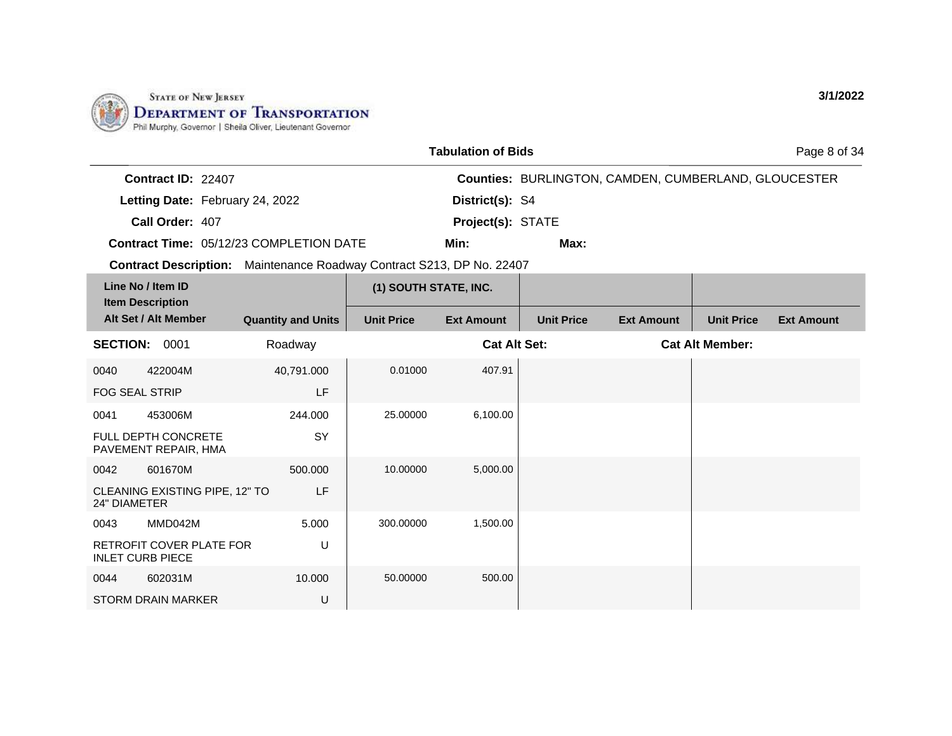

|                                                                              |                           |                       | <b>Tabulation of Bids</b> |                   |                                                             |                        | Page 8 of 34      |
|------------------------------------------------------------------------------|---------------------------|-----------------------|---------------------------|-------------------|-------------------------------------------------------------|------------------------|-------------------|
| Contract ID: 22407                                                           |                           |                       |                           |                   | <b>Counties: BURLINGTON, CAMDEN, CUMBERLAND, GLOUCESTER</b> |                        |                   |
| Letting Date: February 24, 2022                                              |                           |                       | District(s): S4           |                   |                                                             |                        |                   |
| Call Order: 407                                                              |                           |                       | Project(s): STATE         |                   |                                                             |                        |                   |
| Contract Time: 05/12/23 COMPLETION DATE                                      |                           |                       | Min:                      | Max:              |                                                             |                        |                   |
| <b>Contract Description:</b> Maintenance Roadway Contract S213, DP No. 22407 |                           |                       |                           |                   |                                                             |                        |                   |
| Line No / Item ID<br><b>Item Description</b>                                 |                           | (1) SOUTH STATE, INC. |                           |                   |                                                             |                        |                   |
| Alt Set / Alt Member                                                         | <b>Quantity and Units</b> | <b>Unit Price</b>     | <b>Ext Amount</b>         | <b>Unit Price</b> | <b>Ext Amount</b>                                           | <b>Unit Price</b>      | <b>Ext Amount</b> |
| <b>SECTION: 0001</b>                                                         | Roadway                   |                       | <b>Cat Alt Set:</b>       |                   |                                                             | <b>Cat Alt Member:</b> |                   |
| 422004M<br>0040                                                              | 40,791.000                | 0.01000               | 407.91                    |                   |                                                             |                        |                   |
| <b>FOG SEAL STRIP</b>                                                        | LF                        |                       |                           |                   |                                                             |                        |                   |
| 453006M<br>0041                                                              | 244.000                   | 25.00000              | 6,100.00                  |                   |                                                             |                        |                   |
| FULL DEPTH CONCRETE<br>PAVEMENT REPAIR, HMA                                  | SY                        |                       |                           |                   |                                                             |                        |                   |
| 601670M<br>0042                                                              | 500.000                   | 10.00000              | 5,000.00                  |                   |                                                             |                        |                   |
| CLEANING EXISTING PIPE, 12" TO<br><b>24" DIAMETER</b>                        | LF                        |                       |                           |                   |                                                             |                        |                   |
| 0043<br>MMD042M                                                              | 5.000                     | 300.00000             | 1,500.00                  |                   |                                                             |                        |                   |
| RETROFIT COVER PLATE FOR<br><b>INLET CURB PIECE</b>                          | U                         |                       |                           |                   |                                                             |                        |                   |
| 602031M<br>0044                                                              | 10.000                    | 50.00000              | 500.00                    |                   |                                                             |                        |                   |
| <b>STORM DRAIN MARKER</b>                                                    | U                         |                       |                           |                   |                                                             |                        |                   |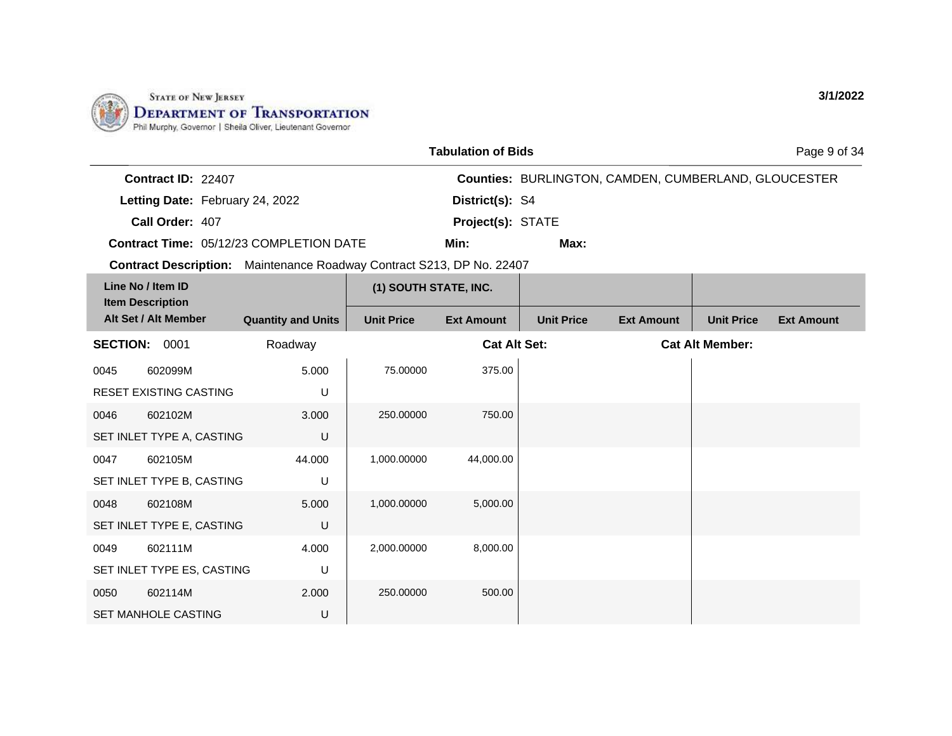

SET MANHOLE CASTING

U

|                                                                       |                           |                       | <b>Tabulation of Bids</b> |                   |                                                             |                        | Page 9 of 34      |
|-----------------------------------------------------------------------|---------------------------|-----------------------|---------------------------|-------------------|-------------------------------------------------------------|------------------------|-------------------|
| Contract ID: 22407                                                    |                           |                       |                           |                   | <b>Counties: BURLINGTON, CAMDEN, CUMBERLAND, GLOUCESTER</b> |                        |                   |
| Letting Date: February 24, 2022                                       |                           |                       | District(s): S4           |                   |                                                             |                        |                   |
| Call Order: 407                                                       |                           |                       | Project(s): STATE         |                   |                                                             |                        |                   |
| Contract Time: 05/12/23 COMPLETION DATE                               |                           |                       | Min:                      | Max:              |                                                             |                        |                   |
| Contract Description: Maintenance Roadway Contract S213, DP No. 22407 |                           |                       |                           |                   |                                                             |                        |                   |
| Line No / Item ID                                                     |                           | (1) SOUTH STATE, INC. |                           |                   |                                                             |                        |                   |
| <b>Item Description</b><br>Alt Set / Alt Member                       | <b>Quantity and Units</b> | <b>Unit Price</b>     | <b>Ext Amount</b>         | <b>Unit Price</b> | <b>Ext Amount</b>                                           | <b>Unit Price</b>      | <b>Ext Amount</b> |
| <b>SECTION: 0001</b>                                                  | Roadway                   |                       | <b>Cat Alt Set:</b>       |                   |                                                             | <b>Cat Alt Member:</b> |                   |
| 602099M<br>0045                                                       | 5.000                     | 75.00000              | 375.00                    |                   |                                                             |                        |                   |
| RESET EXISTING CASTING                                                | U                         |                       |                           |                   |                                                             |                        |                   |
| 602102M<br>0046                                                       | 3.000                     | 250.00000             | 750.00                    |                   |                                                             |                        |                   |
| SET INLET TYPE A, CASTING                                             | U                         |                       |                           |                   |                                                             |                        |                   |
| 602105M<br>0047                                                       | 44.000                    | 1,000.00000           | 44,000.00                 |                   |                                                             |                        |                   |
| SET INLET TYPE B, CASTING                                             | U                         |                       |                           |                   |                                                             |                        |                   |
| 602108M<br>0048                                                       | 5.000                     | 1,000.00000           | 5,000.00                  |                   |                                                             |                        |                   |
| SET INLET TYPE E, CASTING                                             | U                         |                       |                           |                   |                                                             |                        |                   |
| 602111M<br>0049                                                       | 4.000                     | 2,000.00000           | 8,000.00                  |                   |                                                             |                        |                   |
| SET INLET TYPE ES, CASTING                                            | U                         |                       |                           |                   |                                                             |                        |                   |
| 602114M<br>0050                                                       | 2.000                     | 250.00000             | 500.00                    |                   |                                                             |                        |                   |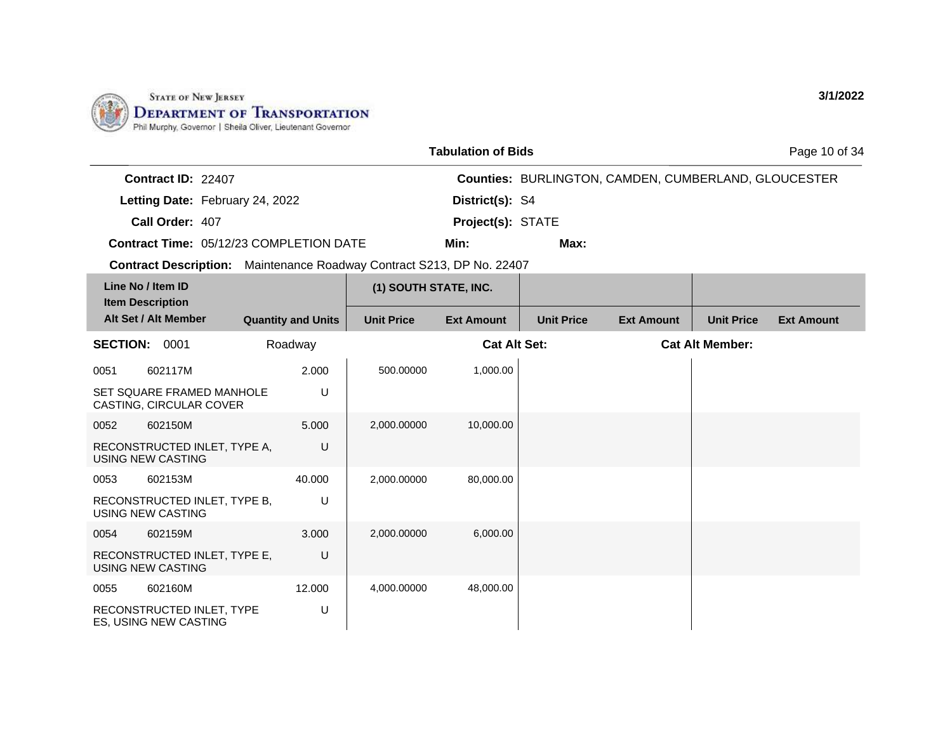

RECONSTRUCTED INLET, TYPE ES, USING NEW CASTING

U

|                                                                              |                           |                       | <b>Tabulation of Bids</b> |                   |                                                      |                        | Page 10 of 34     |
|------------------------------------------------------------------------------|---------------------------|-----------------------|---------------------------|-------------------|------------------------------------------------------|------------------------|-------------------|
| Contract ID: 22407                                                           |                           |                       |                           |                   | Counties: BURLINGTON, CAMDEN, CUMBERLAND, GLOUCESTER |                        |                   |
| Letting Date: February 24, 2022                                              |                           |                       | District(s): S4           |                   |                                                      |                        |                   |
| Call Order: 407                                                              |                           |                       | Project(s): STATE         |                   |                                                      |                        |                   |
| <b>Contract Time: 05/12/23 COMPLETION DATE</b>                               |                           |                       | Min:                      | Max:              |                                                      |                        |                   |
| <b>Contract Description:</b> Maintenance Roadway Contract S213, DP No. 22407 |                           |                       |                           |                   |                                                      |                        |                   |
| Line No / Item ID                                                            |                           | (1) SOUTH STATE, INC. |                           |                   |                                                      |                        |                   |
| <b>Item Description</b><br>Alt Set / Alt Member                              |                           | <b>Unit Price</b>     | <b>Ext Amount</b>         | <b>Unit Price</b> |                                                      |                        | <b>Ext Amount</b> |
|                                                                              | <b>Quantity and Units</b> |                       |                           |                   | <b>Ext Amount</b>                                    | <b>Unit Price</b>      |                   |
| <b>SECTION:</b><br>0001                                                      | Roadway                   |                       | <b>Cat Alt Set:</b>       |                   |                                                      | <b>Cat Alt Member:</b> |                   |
| 602117M<br>0051                                                              | 2.000                     | 500.00000             | 1,000.00                  |                   |                                                      |                        |                   |
| SET SQUARE FRAMED MANHOLE<br>CASTING, CIRCULAR COVER                         | U                         |                       |                           |                   |                                                      |                        |                   |
| 602150M<br>0052                                                              | 5.000                     | 2,000.00000           | 10,000.00                 |                   |                                                      |                        |                   |
| RECONSTRUCTED INLET, TYPE A,<br><b>USING NEW CASTING</b>                     | U                         |                       |                           |                   |                                                      |                        |                   |
| 602153M<br>0053                                                              | 40.000                    | 2,000.00000           | 80,000.00                 |                   |                                                      |                        |                   |
| RECONSTRUCTED INLET, TYPE B,<br>USING NEW CASTING                            | U                         |                       |                           |                   |                                                      |                        |                   |
| 602159M<br>0054                                                              | 3.000                     | 2,000.00000           | 6,000.00                  |                   |                                                      |                        |                   |
| RECONSTRUCTED INLET, TYPE E,<br><b>USING NEW CASTING</b>                     | U                         |                       |                           |                   |                                                      |                        |                   |
| 0055<br>602160M                                                              | 12.000                    | 4,000.00000           | 48,000.00                 |                   |                                                      |                        |                   |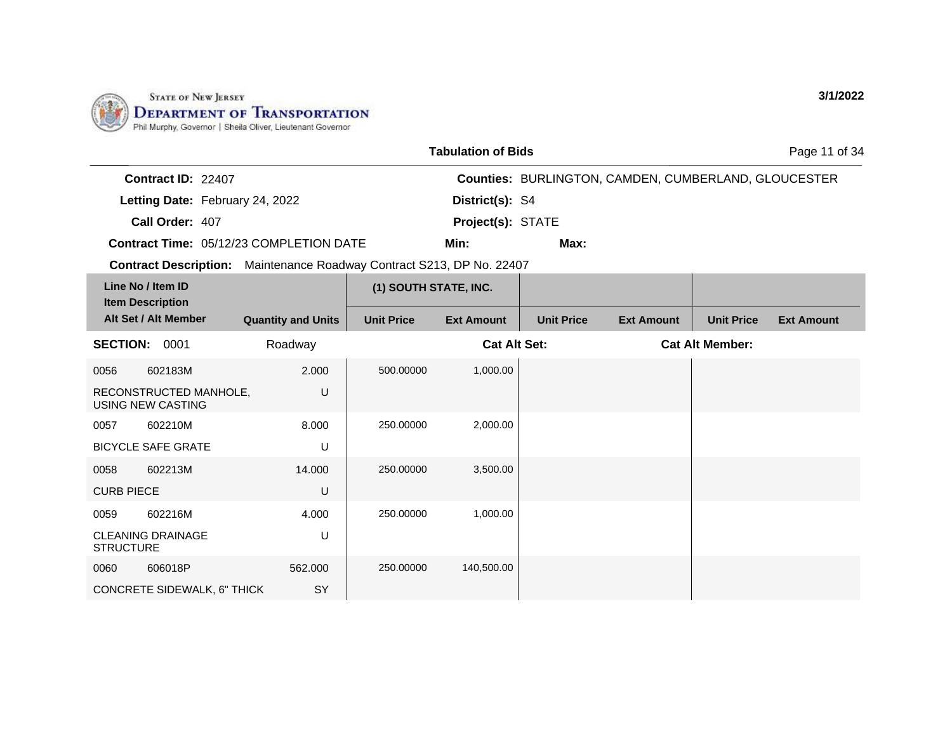

CONCRETE SIDEWALK, 6" THICK

SY

|                                                                       |                           |                       | <b>Tabulation of Bids</b> |                   |                                                      |                        | Page 11 of 34     |
|-----------------------------------------------------------------------|---------------------------|-----------------------|---------------------------|-------------------|------------------------------------------------------|------------------------|-------------------|
| Contract ID: 22407                                                    |                           |                       |                           |                   | Counties: BURLINGTON, CAMDEN, CUMBERLAND, GLOUCESTER |                        |                   |
| Letting Date: February 24, 2022                                       |                           |                       | District(s): S4           |                   |                                                      |                        |                   |
| Call Order: 407                                                       |                           |                       | Project(s): STATE         |                   |                                                      |                        |                   |
| <b>Contract Time: 05/12/23 COMPLETION DATE</b>                        |                           |                       | Min:                      | Max:              |                                                      |                        |                   |
| Contract Description: Maintenance Roadway Contract S213, DP No. 22407 |                           |                       |                           |                   |                                                      |                        |                   |
| Line No / Item ID                                                     |                           | (1) SOUTH STATE, INC. |                           |                   |                                                      |                        |                   |
| <b>Item Description</b><br>Alt Set / Alt Member                       | <b>Quantity and Units</b> | <b>Unit Price</b>     | <b>Ext Amount</b>         | <b>Unit Price</b> | <b>Ext Amount</b>                                    | <b>Unit Price</b>      | <b>Ext Amount</b> |
| <b>SECTION:</b><br>0001                                               | Roadway                   |                       | <b>Cat Alt Set:</b>       |                   |                                                      | <b>Cat Alt Member:</b> |                   |
| 602183M<br>0056                                                       | 2.000                     | 500.00000             | 1,000.00                  |                   |                                                      |                        |                   |
| RECONSTRUCTED MANHOLE,<br><b>USING NEW CASTING</b>                    | U                         |                       |                           |                   |                                                      |                        |                   |
| 602210M<br>0057                                                       | 8.000                     | 250.00000             | 2,000.00                  |                   |                                                      |                        |                   |
| <b>BICYCLE SAFE GRATE</b>                                             | U                         |                       |                           |                   |                                                      |                        |                   |
| 602213M<br>0058                                                       | 14.000                    | 250.00000             | 3,500.00                  |                   |                                                      |                        |                   |
| <b>CURB PIECE</b>                                                     | U                         |                       |                           |                   |                                                      |                        |                   |
| 602216M<br>0059                                                       | 4.000                     | 250.00000             | 1,000.00                  |                   |                                                      |                        |                   |
| <b>CLEANING DRAINAGE</b><br><b>STRUCTURE</b>                          | U                         |                       |                           |                   |                                                      |                        |                   |
| 606018P<br>0060                                                       | 562.000                   | 250.00000             | 140,500.00                |                   |                                                      |                        |                   |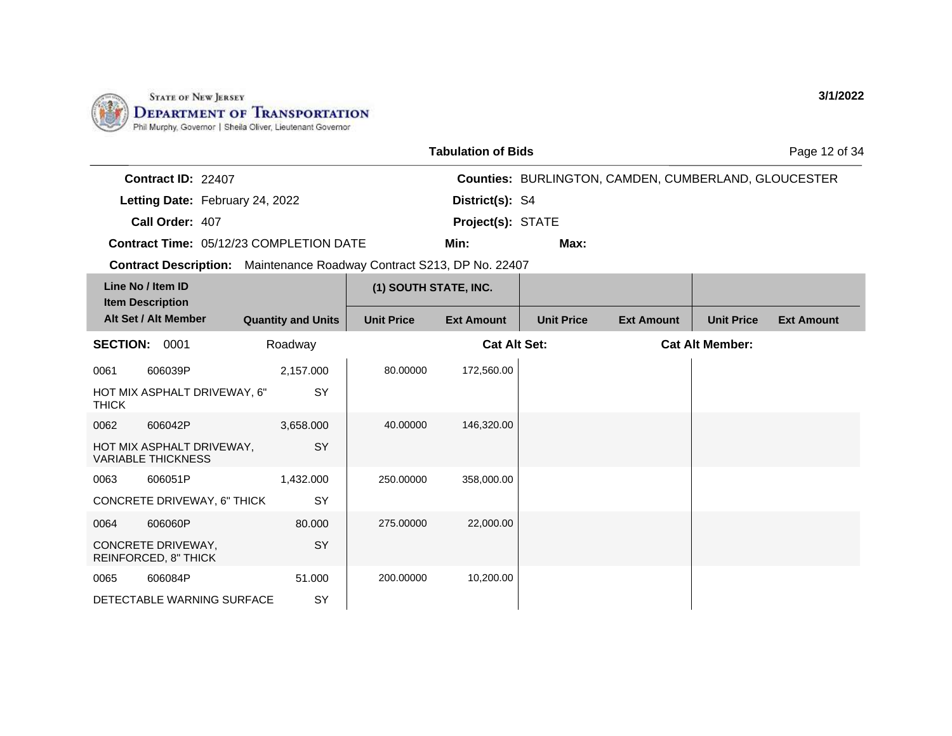

|              |                                                                       |                           |                       | <b>Tabulation of Bids</b> |                   |                                                             |                        | Page 12 of 34     |
|--------------|-----------------------------------------------------------------------|---------------------------|-----------------------|---------------------------|-------------------|-------------------------------------------------------------|------------------------|-------------------|
|              | Contract ID: 22407                                                    |                           |                       |                           |                   | <b>Counties: BURLINGTON, CAMDEN, CUMBERLAND, GLOUCESTER</b> |                        |                   |
|              | Letting Date: February 24, 2022                                       |                           |                       | District(s): S4           |                   |                                                             |                        |                   |
|              | Call Order: 407                                                       |                           |                       | Project(s): STATE         |                   |                                                             |                        |                   |
|              | Contract Time: 05/12/23 COMPLETION DATE                               |                           |                       | Min:                      | Max:              |                                                             |                        |                   |
|              | Contract Description: Maintenance Roadway Contract S213, DP No. 22407 |                           |                       |                           |                   |                                                             |                        |                   |
|              | Line No / Item ID<br><b>Item Description</b>                          |                           | (1) SOUTH STATE, INC. |                           |                   |                                                             |                        |                   |
|              | Alt Set / Alt Member                                                  | <b>Quantity and Units</b> | <b>Unit Price</b>     | <b>Ext Amount</b>         | <b>Unit Price</b> | <b>Ext Amount</b>                                           | <b>Unit Price</b>      | <b>Ext Amount</b> |
|              | <b>SECTION: 0001</b>                                                  | Roadway                   |                       | <b>Cat Alt Set:</b>       |                   |                                                             | <b>Cat Alt Member:</b> |                   |
| 0061         | 606039P                                                               | 2,157.000                 | 80.00000              | 172,560.00                |                   |                                                             |                        |                   |
| <b>THICK</b> | HOT MIX ASPHALT DRIVEWAY, 6"                                          | SY                        |                       |                           |                   |                                                             |                        |                   |
| 0062         | 606042P                                                               | 3,658.000                 | 40.00000              | 146,320.00                |                   |                                                             |                        |                   |
|              | HOT MIX ASPHALT DRIVEWAY,<br><b>VARIABLE THICKNESS</b>                | SY                        |                       |                           |                   |                                                             |                        |                   |
| 0063         | 606051P                                                               | 1,432.000                 | 250.00000             | 358,000.00                |                   |                                                             |                        |                   |
|              | CONCRETE DRIVEWAY, 6" THICK                                           | SY                        |                       |                           |                   |                                                             |                        |                   |
| 0064         | 606060P                                                               | 80.000                    | 275.00000             | 22,000.00                 |                   |                                                             |                        |                   |
|              | CONCRETE DRIVEWAY,<br>REINFORCED, 8" THICK                            | <b>SY</b>                 |                       |                           |                   |                                                             |                        |                   |
| 0065         | 606084P                                                               | 51.000                    | 200.00000             | 10,200.00                 |                   |                                                             |                        |                   |
|              | DETECTABLE WARNING SURFACE                                            | SY                        |                       |                           |                   |                                                             |                        |                   |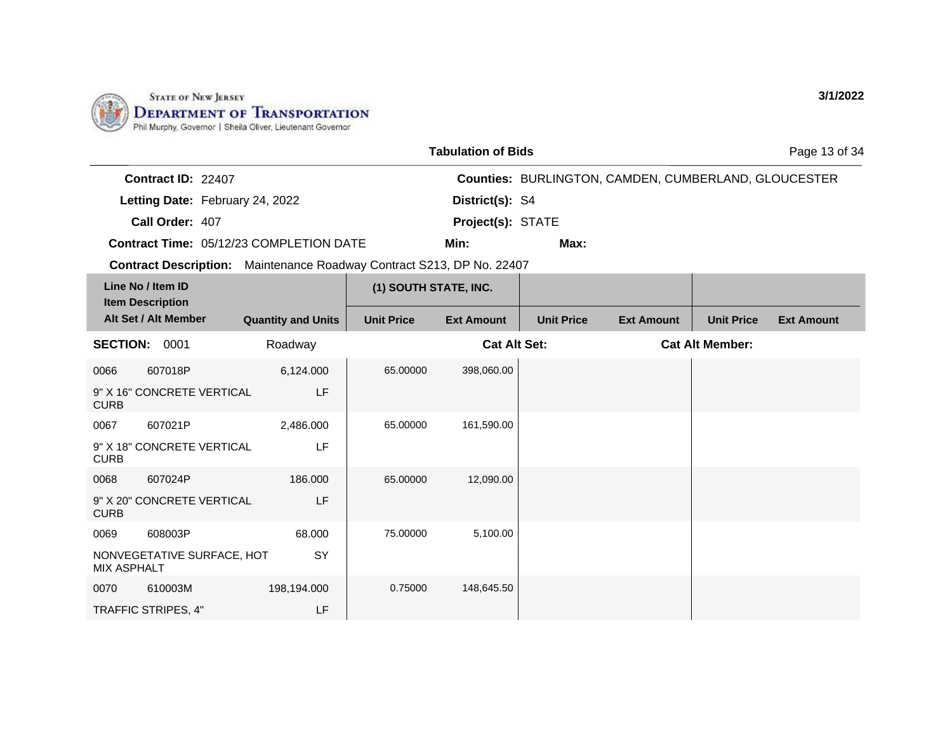

|                    |                                                 |                                                                              |                       | <b>Tabulation of Bids</b> |                   |                                                      |                        | Page 13 of 34     |
|--------------------|-------------------------------------------------|------------------------------------------------------------------------------|-----------------------|---------------------------|-------------------|------------------------------------------------------|------------------------|-------------------|
|                    | Contract ID: 22407                              |                                                                              |                       |                           |                   | Counties: BURLINGTON, CAMDEN, CUMBERLAND, GLOUCESTER |                        |                   |
|                    | Letting Date: February 24, 2022                 |                                                                              |                       | District(s): S4           |                   |                                                      |                        |                   |
|                    | Call Order: 407                                 |                                                                              |                       | Project(s): STATE         |                   |                                                      |                        |                   |
|                    |                                                 | Contract Time: 05/12/23 COMPLETION DATE                                      |                       | Min:                      | Max:              |                                                      |                        |                   |
|                    |                                                 | <b>Contract Description:</b> Maintenance Roadway Contract S213, DP No. 22407 |                       |                           |                   |                                                      |                        |                   |
|                    | Line No / Item ID                               |                                                                              | (1) SOUTH STATE, INC. |                           |                   |                                                      |                        |                   |
|                    | <b>Item Description</b><br>Alt Set / Alt Member | <b>Quantity and Units</b>                                                    | <b>Unit Price</b>     | <b>Ext Amount</b>         | <b>Unit Price</b> | <b>Ext Amount</b>                                    | <b>Unit Price</b>      | <b>Ext Amount</b> |
|                    | <b>SECTION: 0001</b>                            | Roadway                                                                      |                       | <b>Cat Alt Set:</b>       |                   |                                                      | <b>Cat Alt Member:</b> |                   |
| 0066               | 607018P                                         | 6,124.000                                                                    | 65.00000              | 398,060.00                |                   |                                                      |                        |                   |
| <b>CURB</b>        | 9" X 16" CONCRETE VERTICAL                      | LF                                                                           |                       |                           |                   |                                                      |                        |                   |
| 0067               | 607021P                                         | 2,486.000                                                                    | 65.00000              | 161,590.00                |                   |                                                      |                        |                   |
| <b>CURB</b>        | 9" X 18" CONCRETE VERTICAL                      | LF                                                                           |                       |                           |                   |                                                      |                        |                   |
| 0068               | 607024P                                         | 186,000                                                                      | 65.00000              | 12,090.00                 |                   |                                                      |                        |                   |
| <b>CURB</b>        | 9" X 20" CONCRETE VERTICAL                      | LF                                                                           |                       |                           |                   |                                                      |                        |                   |
| 0069               | 608003P                                         | 68.000                                                                       | 75.00000              | 5,100.00                  |                   |                                                      |                        |                   |
| <b>MIX ASPHALT</b> | NONVEGETATIVE SURFACE, HOT                      | SY                                                                           |                       |                           |                   |                                                      |                        |                   |
| 0070               | 610003M                                         | 198,194.000                                                                  | 0.75000               | 148,645.50                |                   |                                                      |                        |                   |
|                    | TRAFFIC STRIPES, 4"                             | LF                                                                           |                       |                           |                   |                                                      |                        |                   |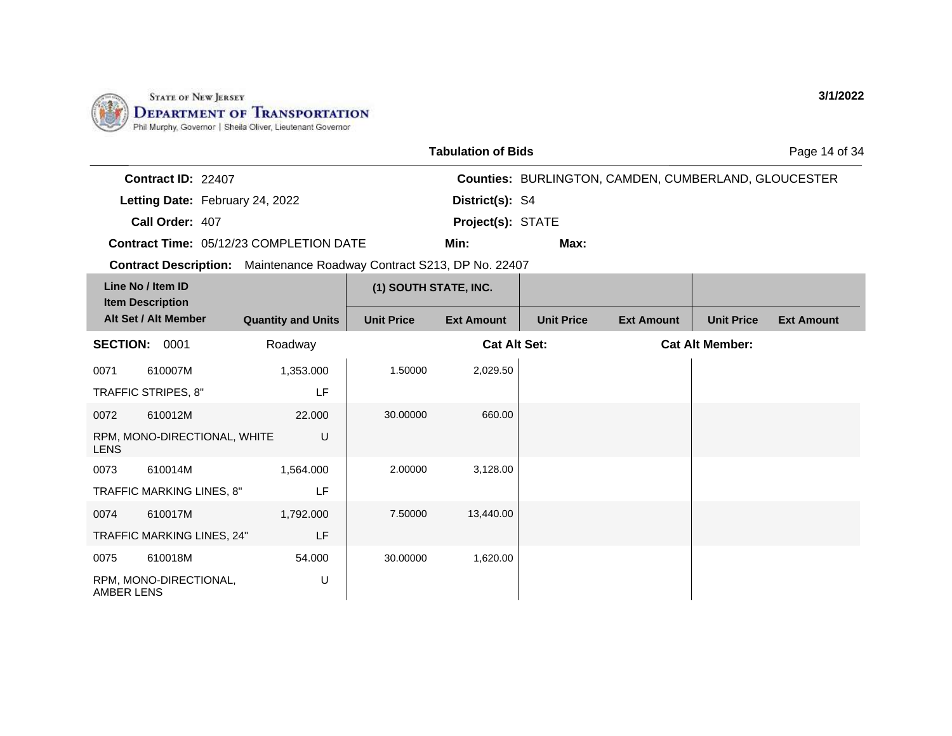

AMBER LENS

|                                                                       |                           |                       | <b>Tabulation of Bids</b> |                   |                                                             |                        | Page 14 of 34     |
|-----------------------------------------------------------------------|---------------------------|-----------------------|---------------------------|-------------------|-------------------------------------------------------------|------------------------|-------------------|
| Contract ID: 22407                                                    |                           |                       |                           |                   | <b>Counties: BURLINGTON, CAMDEN, CUMBERLAND, GLOUCESTER</b> |                        |                   |
| Letting Date: February 24, 2022                                       |                           |                       | District(s): S4           |                   |                                                             |                        |                   |
| Call Order: 407                                                       |                           |                       | Project(s): STATE         |                   |                                                             |                        |                   |
| <b>Contract Time: 05/12/23 COMPLETION DATE</b>                        |                           |                       | Min:                      | Max:              |                                                             |                        |                   |
| Contract Description: Maintenance Roadway Contract S213, DP No. 22407 |                           |                       |                           |                   |                                                             |                        |                   |
| Line No / Item ID                                                     |                           | (1) SOUTH STATE, INC. |                           |                   |                                                             |                        |                   |
| <b>Item Description</b><br>Alt Set / Alt Member                       | <b>Quantity and Units</b> | <b>Unit Price</b>     | <b>Ext Amount</b>         | <b>Unit Price</b> | <b>Ext Amount</b>                                           | <b>Unit Price</b>      | <b>Ext Amount</b> |
| <b>SECTION:</b><br>0001                                               | Roadway                   |                       | <b>Cat Alt Set:</b>       |                   |                                                             | <b>Cat Alt Member:</b> |                   |
| 610007M<br>0071                                                       | 1,353.000                 | 1.50000               | 2,029.50                  |                   |                                                             |                        |                   |
| TRAFFIC STRIPES, 8"                                                   | LF                        |                       |                           |                   |                                                             |                        |                   |
| 610012M<br>0072                                                       | 22.000                    | 30.00000              | 660.00                    |                   |                                                             |                        |                   |
| RPM, MONO-DIRECTIONAL, WHITE<br><b>LENS</b>                           | U                         |                       |                           |                   |                                                             |                        |                   |
| 0073<br>610014M                                                       | 1,564.000                 | 2.00000               | 3,128.00                  |                   |                                                             |                        |                   |
| TRAFFIC MARKING LINES, 8"                                             | LF                        |                       |                           |                   |                                                             |                        |                   |
| 0074<br>610017M                                                       | 1,792.000                 | 7.50000               | 13,440.00                 |                   |                                                             |                        |                   |
| TRAFFIC MARKING LINES, 24"                                            | LF                        |                       |                           |                   |                                                             |                        |                   |
| 0075<br>610018M                                                       | 54.000                    | 30.00000              | 1,620.00                  |                   |                                                             |                        |                   |
| RPM, MONO-DIRECTIONAL,                                                | U                         |                       |                           |                   |                                                             |                        |                   |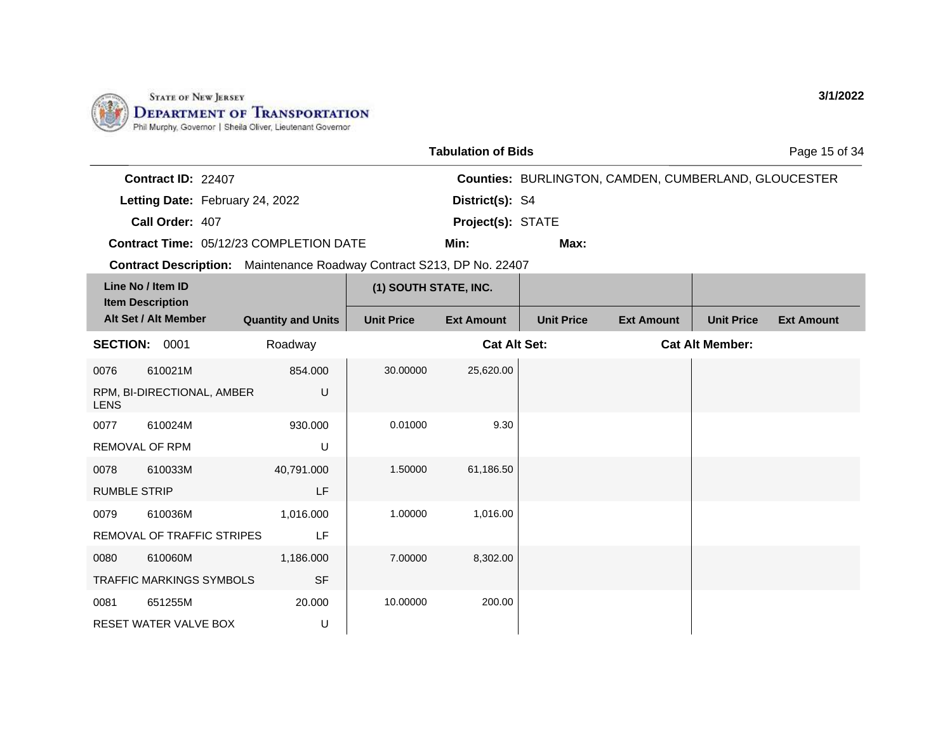

|                                              |                                 |                                                                       |                       | <b>Tabulation of Bids</b> |                   |                                                             |                        | Page 15 of 34     |
|----------------------------------------------|---------------------------------|-----------------------------------------------------------------------|-----------------------|---------------------------|-------------------|-------------------------------------------------------------|------------------------|-------------------|
| Contract ID: 22407                           |                                 |                                                                       |                       |                           |                   | <b>Counties: BURLINGTON, CAMDEN, CUMBERLAND, GLOUCESTER</b> |                        |                   |
|                                              | Letting Date: February 24, 2022 |                                                                       |                       | District(s): S4           |                   |                                                             |                        |                   |
| Call Order: 407                              |                                 |                                                                       |                       | Project(s): STATE         |                   |                                                             |                        |                   |
|                                              |                                 | <b>Contract Time: 05/12/23 COMPLETION DATE</b>                        |                       | Min:                      | Max:              |                                                             |                        |                   |
|                                              |                                 | Contract Description: Maintenance Roadway Contract S213, DP No. 22407 |                       |                           |                   |                                                             |                        |                   |
| Line No / Item ID<br><b>Item Description</b> |                                 |                                                                       | (1) SOUTH STATE, INC. |                           |                   |                                                             |                        |                   |
| Alt Set / Alt Member                         |                                 | <b>Quantity and Units</b>                                             | <b>Unit Price</b>     | <b>Ext Amount</b>         | <b>Unit Price</b> | <b>Ext Amount</b>                                           | <b>Unit Price</b>      | <b>Ext Amount</b> |
| <b>SECTION: 0001</b>                         |                                 | Roadway                                                               |                       | <b>Cat Alt Set:</b>       |                   |                                                             | <b>Cat Alt Member:</b> |                   |
| 610021M<br>0076                              |                                 | 854.000                                                               | 30.00000              | 25,620.00                 |                   |                                                             |                        |                   |
| RPM, BI-DIRECTIONAL, AMBER<br><b>LENS</b>    |                                 | U                                                                     |                       |                           |                   |                                                             |                        |                   |
| 0077<br>610024M                              |                                 | 930.000                                                               | 0.01000               | 9.30                      |                   |                                                             |                        |                   |
| REMOVAL OF RPM                               |                                 | U                                                                     |                       |                           |                   |                                                             |                        |                   |
| 610033M<br>0078                              |                                 | 40,791.000                                                            | 1.50000               | 61,186.50                 |                   |                                                             |                        |                   |
| <b>RUMBLE STRIP</b>                          |                                 | LF                                                                    |                       |                           |                   |                                                             |                        |                   |
| 0079<br>610036M                              |                                 | 1,016.000                                                             | 1.00000               | 1,016.00                  |                   |                                                             |                        |                   |
| REMOVAL OF TRAFFIC STRIPES                   |                                 | LF                                                                    |                       |                           |                   |                                                             |                        |                   |
| 610060M<br>0080                              |                                 | 1,186.000                                                             | 7.00000               | 8,302.00                  |                   |                                                             |                        |                   |
| <b>TRAFFIC MARKINGS SYMBOLS</b>              |                                 | <b>SF</b>                                                             |                       |                           |                   |                                                             |                        |                   |
| 651255M<br>0081                              |                                 | 20.000                                                                | 10.00000              | 200.00                    |                   |                                                             |                        |                   |
| RESET WATER VALVE BOX                        |                                 | U                                                                     |                       |                           |                   |                                                             |                        |                   |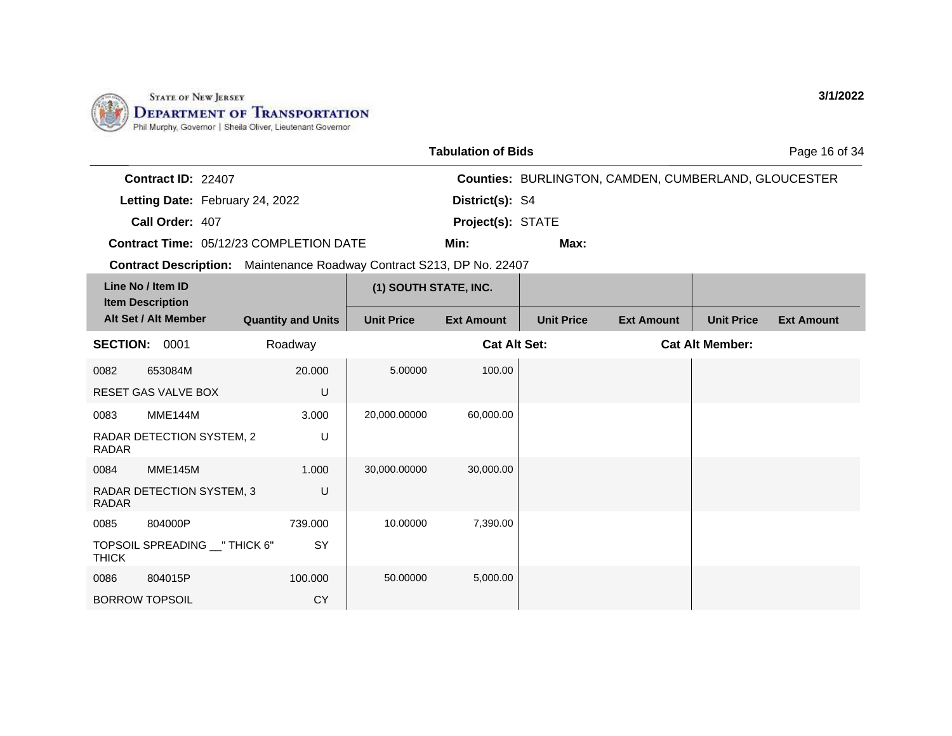

|              |                                                 |                                                                       |                       | <b>Tabulation of Bids</b> |                   |                                                      |                        | Page 16 of 34     |
|--------------|-------------------------------------------------|-----------------------------------------------------------------------|-----------------------|---------------------------|-------------------|------------------------------------------------------|------------------------|-------------------|
|              | Contract ID: 22407                              |                                                                       |                       |                           |                   | Counties: BURLINGTON, CAMDEN, CUMBERLAND, GLOUCESTER |                        |                   |
|              | Letting Date: February 24, 2022                 |                                                                       |                       | District(s): S4           |                   |                                                      |                        |                   |
|              | Call Order: 407                                 |                                                                       | Project(s): STATE     |                           |                   |                                                      |                        |                   |
|              |                                                 | <b>Contract Time: 05/12/23 COMPLETION DATE</b>                        |                       | Min:                      | Max:              |                                                      |                        |                   |
|              |                                                 | Contract Description: Maintenance Roadway Contract S213, DP No. 22407 |                       |                           |                   |                                                      |                        |                   |
|              | Line No / Item ID                               |                                                                       | (1) SOUTH STATE, INC. |                           |                   |                                                      |                        |                   |
|              | <b>Item Description</b><br>Alt Set / Alt Member | <b>Quantity and Units</b>                                             | <b>Unit Price</b>     | <b>Ext Amount</b>         | <b>Unit Price</b> | <b>Ext Amount</b>                                    | <b>Unit Price</b>      | <b>Ext Amount</b> |
|              | <b>SECTION: 0001</b>                            | Roadway                                                               |                       | <b>Cat Alt Set:</b>       |                   |                                                      | <b>Cat Alt Member:</b> |                   |
| 0082         | 653084M                                         | 20,000                                                                | 5.00000               | 100.00                    |                   |                                                      |                        |                   |
|              | <b>RESET GAS VALVE BOX</b>                      | U                                                                     |                       |                           |                   |                                                      |                        |                   |
| 0083         | <b>MME144M</b>                                  | 3.000                                                                 | 20,000.00000          | 60,000.00                 |                   |                                                      |                        |                   |
| <b>RADAR</b> | RADAR DETECTION SYSTEM, 2                       | U                                                                     |                       |                           |                   |                                                      |                        |                   |
| 0084         | MME145M                                         | 1.000                                                                 | 30,000.00000          | 30,000.00                 |                   |                                                      |                        |                   |
| <b>RADAR</b> | RADAR DETECTION SYSTEM, 3                       | U                                                                     |                       |                           |                   |                                                      |                        |                   |
| 0085         | 804000P                                         | 739.000                                                               | 10.00000              | 7,390.00                  |                   |                                                      |                        |                   |
| <b>THICK</b> | TOPSOIL SPREADING __ " THICK 6"                 | SY                                                                    |                       |                           |                   |                                                      |                        |                   |
| 0086         | 804015P                                         | 100.000                                                               | 50.00000              | 5,000.00                  |                   |                                                      |                        |                   |
|              | <b>BORROW TOPSOIL</b>                           | <b>CY</b>                                                             |                       |                           |                   |                                                      |                        |                   |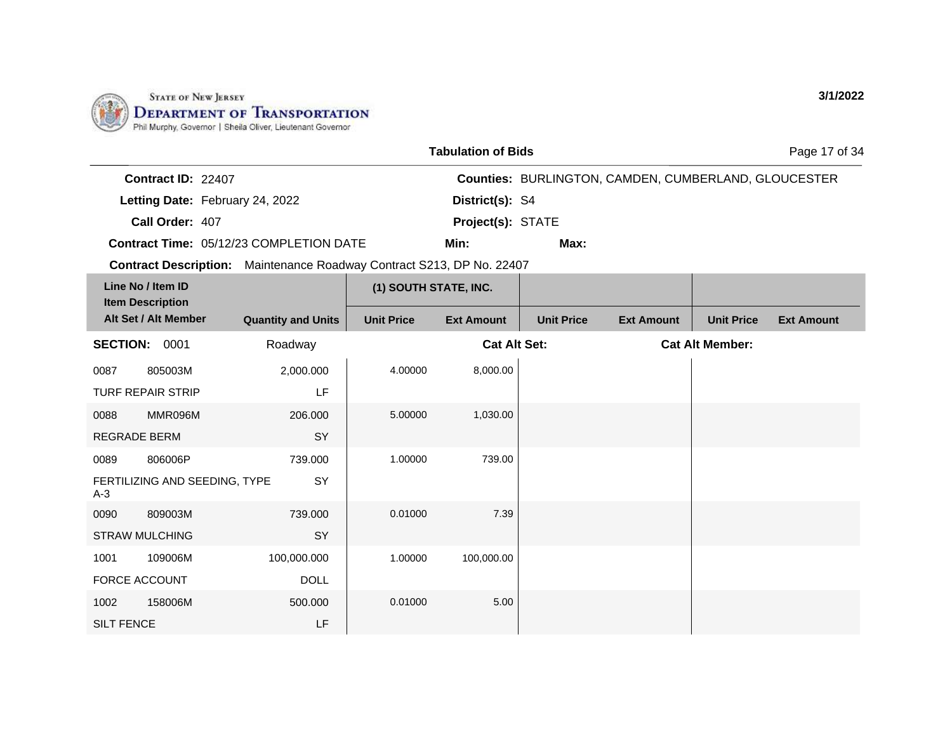

206.000

739.000

739.000

100,000.000

SY

SY

SY

DOLL

LF

500.000

0088 MMR096M REGRADE BERM

0089 806006P

0090 809003M STRAW MULCHING

1001 109006M FORCE ACCOUNT

1002 158006M

SILT FENCE

A-3

FERTILIZING AND SEEDING, TYPE

|                                                                                 |                           |                       | <b>Tabulation of Bids</b> |                                                             |                   |                        | Page 17 of 34     |
|---------------------------------------------------------------------------------|---------------------------|-----------------------|---------------------------|-------------------------------------------------------------|-------------------|------------------------|-------------------|
| Contract ID: 22407                                                              |                           |                       |                           | <b>Counties: BURLINGTON, CAMDEN, CUMBERLAND, GLOUCESTER</b> |                   |                        |                   |
| Letting Date: February 24, 2022                                                 |                           | District(s): S4       |                           |                                                             |                   |                        |                   |
| Call Order: 407                                                                 |                           | Project(s): STATE     |                           |                                                             |                   |                        |                   |
| <b>Contract Time: 05/12/23 COMPLETION DATE</b>                                  |                           |                       | Min:                      | Max:                                                        |                   |                        |                   |
| Maintenance Roadway Contract S213, DP No. 22407<br><b>Contract Description:</b> |                           |                       |                           |                                                             |                   |                        |                   |
| Line No / Item ID<br><b>Item Description</b>                                    |                           | (1) SOUTH STATE, INC. |                           |                                                             |                   |                        |                   |
| Alt Set / Alt Member                                                            | <b>Quantity and Units</b> | <b>Unit Price</b>     | <b>Ext Amount</b>         | <b>Unit Price</b>                                           | <b>Ext Amount</b> | <b>Unit Price</b>      | <b>Ext Amount</b> |
| <b>SECTION:</b><br>0001                                                         | Roadway                   |                       | <b>Cat Alt Set:</b>       |                                                             |                   | <b>Cat Alt Member:</b> |                   |
| 0087<br>805003M                                                                 | 2,000.000                 | 4.00000               | 8,000.00                  |                                                             |                   |                        |                   |
| <b>TURF REPAIR STRIP</b>                                                        | LF                        |                       |                           |                                                             |                   |                        |                   |

5.00000 1,030.00

1.00000 739.00

0.01000 7.39

1.00000 100,000.00

0.01000 5.00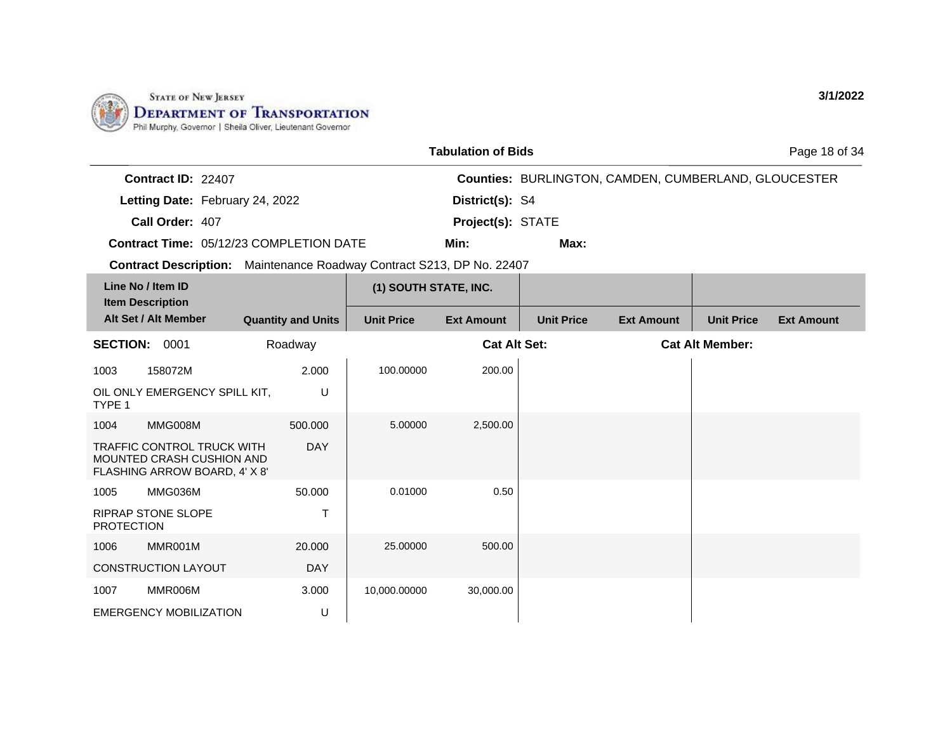

|                                                |                           |                                                 | <b>Tabulation of Bids</b> |                   |                                                             |                        | Page 18 of 34     |
|------------------------------------------------|---------------------------|-------------------------------------------------|---------------------------|-------------------|-------------------------------------------------------------|------------------------|-------------------|
| Contract ID: 22407                             |                           |                                                 |                           |                   | <b>Counties: BURLINGTON, CAMDEN, CUMBERLAND, GLOUCESTER</b> |                        |                   |
| Letting Date: February 24, 2022                |                           |                                                 | District(s): S4           |                   |                                                             |                        |                   |
| Call Order: 407                                |                           |                                                 | Project(s): STATE         |                   |                                                             |                        |                   |
| <b>Contract Time: 05/12/23 COMPLETION DATE</b> |                           |                                                 | Min:                      | Max:              |                                                             |                        |                   |
| <b>Contract Description:</b>                   |                           | Maintenance Roadway Contract S213, DP No. 22407 |                           |                   |                                                             |                        |                   |
| Line No / Item ID<br><b>Item Description</b>   |                           | (1) SOUTH STATE, INC.                           |                           |                   |                                                             |                        |                   |
| Alt Set / Alt Member                           | <b>Quantity and Units</b> | <b>Unit Price</b>                               | <b>Ext Amount</b>         | <b>Unit Price</b> | <b>Ext Amount</b>                                           | <b>Unit Price</b>      | <b>Ext Amount</b> |
| <b>SECTION:</b><br>0001                        | Roadway                   |                                                 | <b>Cat Alt Set:</b>       |                   |                                                             | <b>Cat Alt Member:</b> |                   |
|                                                | $- - - -$                 | $\overline{100000000}$                          | 0.0000                    |                   |                                                             |                        |                   |

| 1003              | 158072M                                                                                  | 2.000      | 100.00000    | 200.00    |  |
|-------------------|------------------------------------------------------------------------------------------|------------|--------------|-----------|--|
| TYPE 1            | OIL ONLY EMERGENCY SPILL KIT,                                                            | U          |              |           |  |
| 1004              | MMG008M                                                                                  | 500,000    | 5.00000      | 2,500.00  |  |
|                   | TRAFFIC CONTROL TRUCK WITH<br>MOUNTED CRASH CUSHION AND<br>FLASHING ARROW BOARD, 4' X 8' | <b>DAY</b> |              |           |  |
| 1005              | MMG036M                                                                                  | 50.000     | 0.01000      | 0.50      |  |
| <b>PROTECTION</b> | RIPRAP STONE SLOPE                                                                       | т          |              |           |  |
| 1006              | MMR001M                                                                                  | 20.000     | 25.00000     | 500.00    |  |
|                   | <b>CONSTRUCTION LAYOUT</b>                                                               | <b>DAY</b> |              |           |  |
| 1007              | MMR006M                                                                                  | 3.000      | 10,000.00000 | 30,000.00 |  |
|                   | <b>EMERGENCY MOBILIZATION</b>                                                            | U          |              |           |  |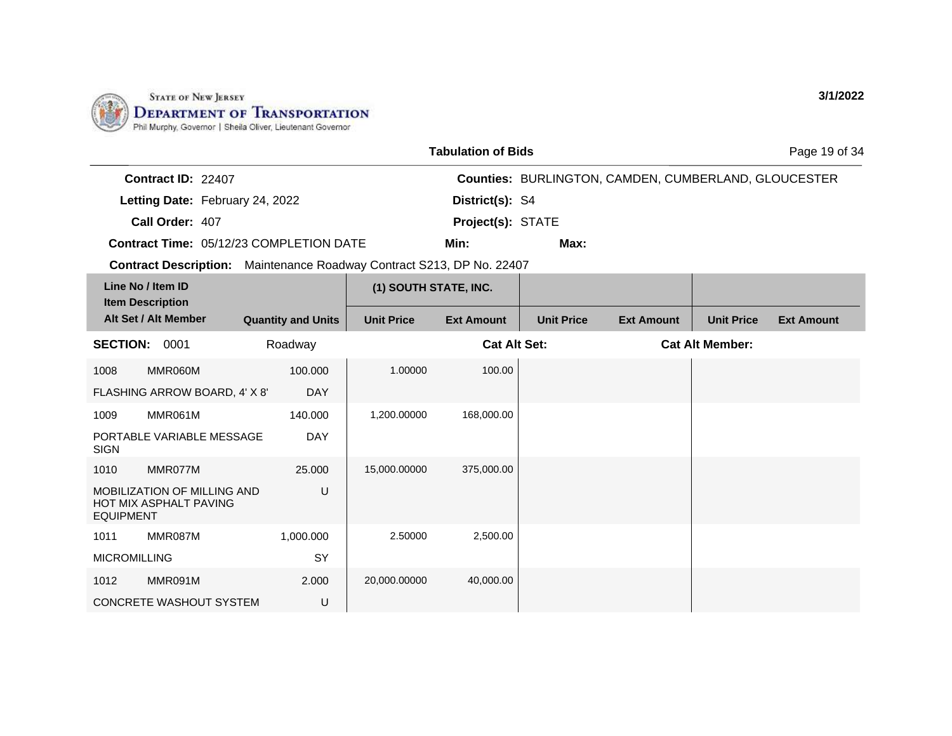

|                                                                       |                                                       |                                         |                       | <b>Tabulation of Bids</b> |                   |                                                             |                        | Page 19 of 34     |
|-----------------------------------------------------------------------|-------------------------------------------------------|-----------------------------------------|-----------------------|---------------------------|-------------------|-------------------------------------------------------------|------------------------|-------------------|
|                                                                       | Contract ID: 22407                                    |                                         |                       |                           |                   | <b>Counties: BURLINGTON, CAMDEN, CUMBERLAND, GLOUCESTER</b> |                        |                   |
|                                                                       | Letting Date: February 24, 2022                       |                                         |                       | District(s): S4           |                   |                                                             |                        |                   |
|                                                                       | Call Order: 407                                       |                                         |                       | Project(s): STATE         |                   |                                                             |                        |                   |
|                                                                       |                                                       | Contract Time: 05/12/23 COMPLETION DATE |                       | Min:                      | Max:              |                                                             |                        |                   |
| Contract Description: Maintenance Roadway Contract S213, DP No. 22407 |                                                       |                                         |                       |                           |                   |                                                             |                        |                   |
|                                                                       | Line No / Item ID                                     |                                         | (1) SOUTH STATE, INC. |                           |                   |                                                             |                        |                   |
|                                                                       | <b>Item Description</b><br>Alt Set / Alt Member       | <b>Quantity and Units</b>               | <b>Unit Price</b>     | <b>Ext Amount</b>         | <b>Unit Price</b> | <b>Ext Amount</b>                                           | <b>Unit Price</b>      | <b>Ext Amount</b> |
| <b>SECTION:</b>                                                       | 0001                                                  | Roadway                                 |                       | <b>Cat Alt Set:</b>       |                   |                                                             | <b>Cat Alt Member:</b> |                   |
| 1008                                                                  | MMR060M                                               | 100.000                                 | 1.00000               | 100.00                    |                   |                                                             |                        |                   |
|                                                                       | FLASHING ARROW BOARD, 4' X 8'                         | <b>DAY</b>                              |                       |                           |                   |                                                             |                        |                   |
| 1009                                                                  | MMR061M                                               | 140.000                                 | 1,200.00000           | 168,000.00                |                   |                                                             |                        |                   |
| <b>SIGN</b>                                                           | PORTABLE VARIABLE MESSAGE                             | <b>DAY</b>                              |                       |                           |                   |                                                             |                        |                   |
| 1010                                                                  | MMR077M                                               | 25,000                                  | 15,000.00000          | 375,000.00                |                   |                                                             |                        |                   |
| <b>EQUIPMENT</b>                                                      | MOBILIZATION OF MILLING AND<br>HOT MIX ASPHALT PAVING | U                                       |                       |                           |                   |                                                             |                        |                   |
| 1011                                                                  | MMR087M                                               | 1,000.000                               | 2.50000               | 2,500.00                  |                   |                                                             |                        |                   |
| <b>MICROMILLING</b>                                                   |                                                       | SY                                      |                       |                           |                   |                                                             |                        |                   |
| 1012                                                                  | MMR091M                                               | 2.000                                   | 20,000.00000          | 40,000.00                 |                   |                                                             |                        |                   |
|                                                                       | <b>CONCRETE WASHOUT SYSTEM</b>                        | U                                       |                       |                           |                   |                                                             |                        |                   |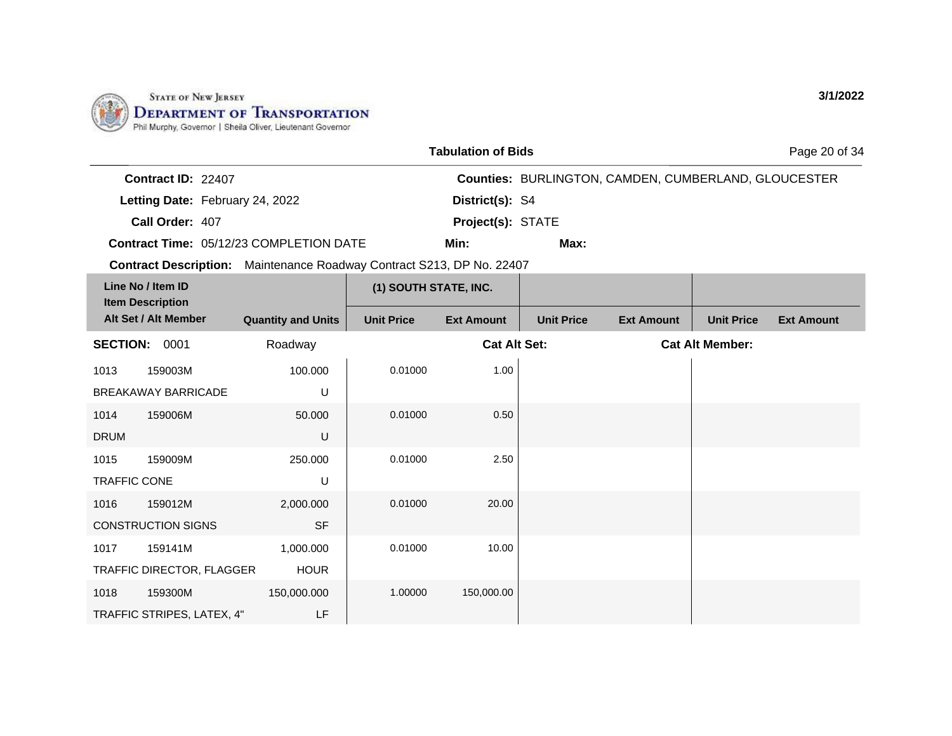

|                    |                                                | <b>Tabulation of Bids</b> |                                                             | Page 20 of 34 |  |  |
|--------------------|------------------------------------------------|---------------------------|-------------------------------------------------------------|---------------|--|--|
| Contract ID: 22407 |                                                |                           | <b>Counties: BURLINGTON, CAMDEN, CUMBERLAND, GLOUCESTER</b> |               |  |  |
|                    | Letting Date: February 24, 2022                | District(s): S4           |                                                             |               |  |  |
| Call Order: 407    |                                                | <b>Project(s): STATE</b>  |                                                             |               |  |  |
|                    | <b>Contract Time: 05/12/23 COMPLETION DATE</b> | Min:                      | Max:                                                        |               |  |  |

**Contract Description:** Maintenance Roadway Contract S213, DP No. 22407

| Line No / Item ID<br><b>Item Description</b><br>Alt Set / Alt Member |                            |                           | (1) SOUTH STATE, INC. |                     |                   |                   |                        |                   |
|----------------------------------------------------------------------|----------------------------|---------------------------|-----------------------|---------------------|-------------------|-------------------|------------------------|-------------------|
|                                                                      |                            | <b>Quantity and Units</b> | <b>Unit Price</b>     | <b>Ext Amount</b>   | <b>Unit Price</b> | <b>Ext Amount</b> | <b>Unit Price</b>      | <b>Ext Amount</b> |
| 0001<br><b>SECTION:</b>                                              |                            | Roadway                   |                       | <b>Cat Alt Set:</b> |                   |                   | <b>Cat Alt Member:</b> |                   |
| 1013                                                                 | 159003M                    | 100.000                   | 0.01000               | 1.00                |                   |                   |                        |                   |
|                                                                      | <b>BREAKAWAY BARRICADE</b> | U                         |                       |                     |                   |                   |                        |                   |
| 1014                                                                 | 159006M                    | 50.000                    | 0.01000               | 0.50                |                   |                   |                        |                   |
| <b>DRUM</b>                                                          |                            | U                         |                       |                     |                   |                   |                        |                   |
| 1015                                                                 | 159009M                    | 250.000                   | 0.01000               | 2.50                |                   |                   |                        |                   |
| <b>TRAFFIC CONE</b>                                                  |                            | U                         |                       |                     |                   |                   |                        |                   |
| 1016                                                                 | 159012M                    | 2,000.000                 | 0.01000               | 20.00               |                   |                   |                        |                   |
|                                                                      | <b>CONSTRUCTION SIGNS</b>  | <b>SF</b>                 |                       |                     |                   |                   |                        |                   |
| 1017                                                                 | 159141M                    | 1,000.000                 | 0.01000               | 10.00               |                   |                   |                        |                   |
|                                                                      | TRAFFIC DIRECTOR, FLAGGER  | <b>HOUR</b>               |                       |                     |                   |                   |                        |                   |
| 1018                                                                 | 159300M                    | 150,000.000               | 1.00000               | 150,000.00          |                   |                   |                        |                   |
|                                                                      | TRAFFIC STRIPES, LATEX, 4" | LF                        |                       |                     |                   |                   |                        |                   |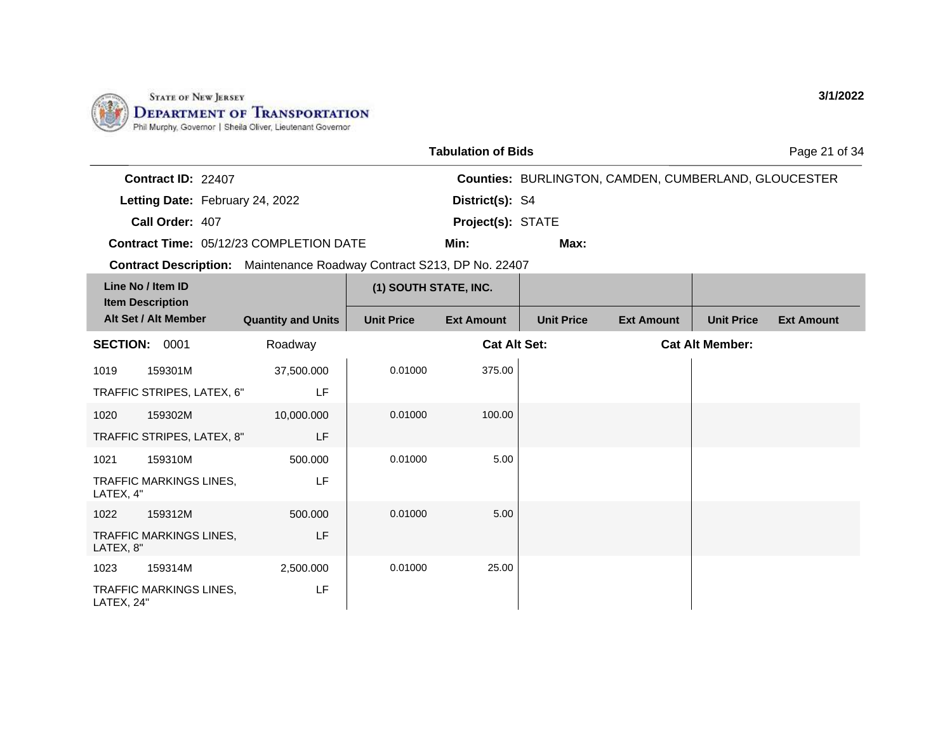

|                                                                                 |                                 |                           |                       | <b>Tabulation of Bids</b> |                   |                                                             |                        | Page 21 of 34     |
|---------------------------------------------------------------------------------|---------------------------------|---------------------------|-----------------------|---------------------------|-------------------|-------------------------------------------------------------|------------------------|-------------------|
|                                                                                 | Contract ID: 22407              |                           |                       |                           |                   | <b>Counties: BURLINGTON, CAMDEN, CUMBERLAND, GLOUCESTER</b> |                        |                   |
|                                                                                 | Letting Date: February 24, 2022 |                           |                       | District(s): S4           |                   |                                                             |                        |                   |
| Call Order: 407                                                                 |                                 |                           |                       | Project(s): STATE         |                   |                                                             |                        |                   |
| <b>Contract Time: 05/12/23 COMPLETION DATE</b>                                  |                                 |                           | Min:                  | Max:                      |                   |                                                             |                        |                   |
| Maintenance Roadway Contract S213, DP No. 22407<br><b>Contract Description:</b> |                                 |                           |                       |                           |                   |                                                             |                        |                   |
| Line No / Item ID<br><b>Item Description</b>                                    |                                 |                           | (1) SOUTH STATE, INC. |                           |                   |                                                             |                        |                   |
| Alt Set / Alt Member                                                            |                                 | <b>Quantity and Units</b> | <b>Unit Price</b>     | <b>Ext Amount</b>         | <b>Unit Price</b> | <b>Ext Amount</b>                                           | <b>Unit Price</b>      | <b>Ext Amount</b> |
| <b>SECTION:</b>                                                                 | 0001                            | Roadway                   |                       | <b>Cat Alt Set:</b>       |                   |                                                             | <b>Cat Alt Member:</b> |                   |
| 1019<br>159301M                                                                 |                                 | 37,500.000                | 0.01000               | 375.00                    |                   |                                                             |                        |                   |
| LF<br>TRAFFIC STRIPES, LATEX, 6"                                                |                                 |                           |                       |                           |                   |                                                             |                        |                   |
| 159302M<br>1020                                                                 |                                 | 10,000.000                | 0.01000               | 100.00                    |                   |                                                             |                        |                   |

|            | TRAFFIU STRIPES, LATEX, 6      | LF.        |         |        |  |
|------------|--------------------------------|------------|---------|--------|--|
| 1020       | 159302M                        | 10,000.000 | 0.01000 | 100.00 |  |
|            | TRAFFIC STRIPES, LATEX, 8"     | <b>LF</b>  |         |        |  |
| 1021       | 159310M                        | 500.000    | 0.01000 | 5.00   |  |
| LATEX, 4"  | <b>TRAFFIC MARKINGS LINES,</b> | LF         |         |        |  |
| 1022       | 159312M                        | 500.000    | 0.01000 | 5.00   |  |
| LATEX, 8"  | <b>TRAFFIC MARKINGS LINES.</b> | <b>LF</b>  |         |        |  |
| 1023       | 159314M                        | 2,500.000  | 0.01000 | 25.00  |  |
| LATEX, 24" | TRAFFIC MARKINGS LINES,        | LF         |         |        |  |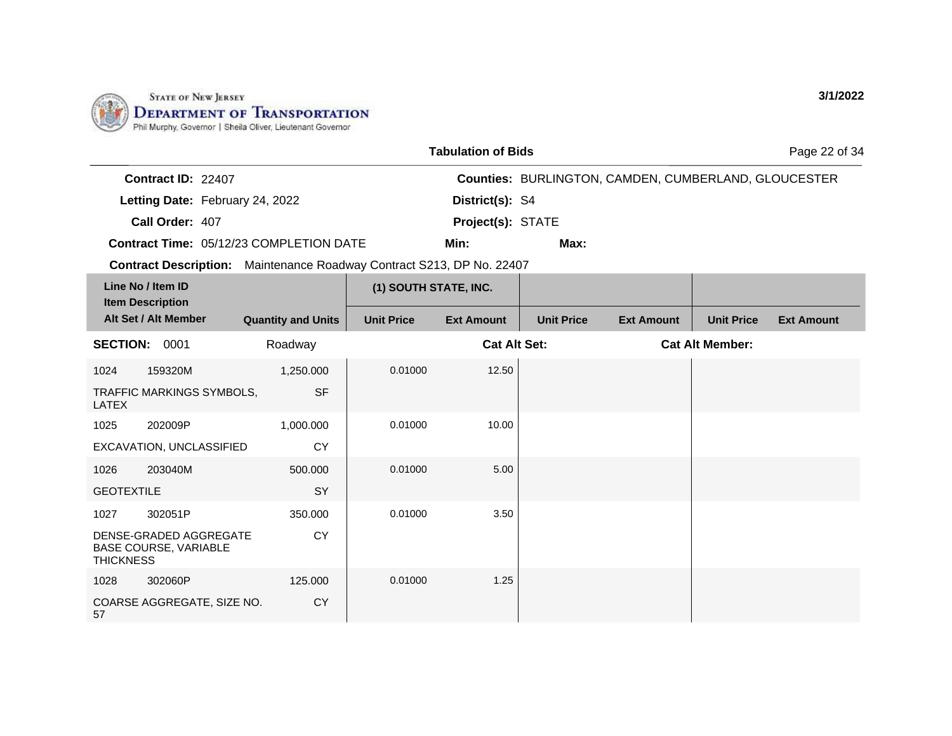

1028 302060P

57

COARSE AGGREGATE, SIZE NO.

125.000

**CY** 

|                   |                                                        |                                                                       |                       | <b>Tabulation of Bids</b> |                   |                                                             |                        | Page 22 of 34     |
|-------------------|--------------------------------------------------------|-----------------------------------------------------------------------|-----------------------|---------------------------|-------------------|-------------------------------------------------------------|------------------------|-------------------|
|                   | Contract ID: 22407                                     |                                                                       |                       |                           |                   | <b>Counties: BURLINGTON, CAMDEN, CUMBERLAND, GLOUCESTER</b> |                        |                   |
|                   | Letting Date: February 24, 2022                        |                                                                       |                       | District(s): S4           |                   |                                                             |                        |                   |
|                   | Call Order: 407                                        |                                                                       |                       | Project(s): STATE         |                   |                                                             |                        |                   |
|                   |                                                        | Contract Time: 05/12/23 COMPLETION DATE                               |                       | Min:                      | Max:              |                                                             |                        |                   |
|                   |                                                        | Contract Description: Maintenance Roadway Contract S213, DP No. 22407 |                       |                           |                   |                                                             |                        |                   |
|                   | Line No / Item ID<br><b>Item Description</b>           |                                                                       | (1) SOUTH STATE, INC. |                           |                   |                                                             |                        |                   |
|                   | Alt Set / Alt Member                                   | <b>Quantity and Units</b>                                             | <b>Unit Price</b>     | <b>Ext Amount</b>         | <b>Unit Price</b> | <b>Ext Amount</b>                                           | <b>Unit Price</b>      | <b>Ext Amount</b> |
| <b>SECTION:</b>   | 0001                                                   | Roadway                                                               |                       | <b>Cat Alt Set:</b>       |                   |                                                             | <b>Cat Alt Member:</b> |                   |
| 1024              | 159320M                                                | 1,250.000                                                             | 0.01000               | 12.50                     |                   |                                                             |                        |                   |
| <b>LATEX</b>      | TRAFFIC MARKINGS SYMBOLS,                              | <b>SF</b>                                                             |                       |                           |                   |                                                             |                        |                   |
| 1025              | 202009P                                                | 1,000.000                                                             | 0.01000               | 10.00                     |                   |                                                             |                        |                   |
|                   | EXCAVATION, UNCLASSIFIED                               | <b>CY</b>                                                             |                       |                           |                   |                                                             |                        |                   |
| 1026              | 203040M                                                | 500.000                                                               | 0.01000               | 5.00                      |                   |                                                             |                        |                   |
| <b>GEOTEXTILE</b> |                                                        | SY                                                                    |                       |                           |                   |                                                             |                        |                   |
| 1027              | 302051P                                                | 350.000                                                               | 0.01000               | 3.50                      |                   |                                                             |                        |                   |
| <b>THICKNESS</b>  | DENSE-GRADED AGGREGATE<br><b>BASE COURSE, VARIABLE</b> | <b>CY</b>                                                             |                       |                           |                   |                                                             |                        |                   |

0.01000 1.25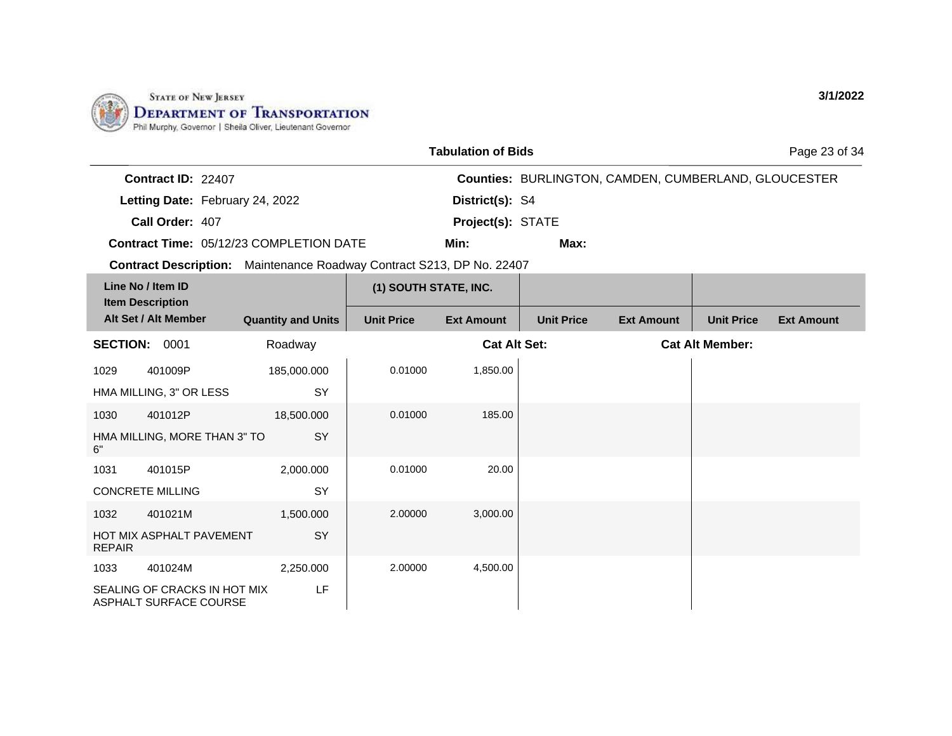

ASPHALT SURFACE COURSE

|                                                                       |                                                 |                                         |                   | <b>Tabulation of Bids</b> |                   |                                                      |                        | Page 23 of 34     |
|-----------------------------------------------------------------------|-------------------------------------------------|-----------------------------------------|-------------------|---------------------------|-------------------|------------------------------------------------------|------------------------|-------------------|
|                                                                       | Contract ID: 22407                              |                                         |                   |                           |                   | Counties: BURLINGTON, CAMDEN, CUMBERLAND, GLOUCESTER |                        |                   |
|                                                                       | Letting Date: February 24, 2022                 |                                         |                   | District(s): S4           |                   |                                                      |                        |                   |
|                                                                       | Call Order: 407                                 |                                         |                   | Project(s): STATE         |                   |                                                      |                        |                   |
|                                                                       |                                                 | Contract Time: 05/12/23 COMPLETION DATE |                   | Min:                      | Max:              |                                                      |                        |                   |
| Contract Description: Maintenance Roadway Contract S213, DP No. 22407 |                                                 |                                         |                   |                           |                   |                                                      |                        |                   |
| Line No / Item ID                                                     |                                                 | (1) SOUTH STATE, INC.                   |                   |                           |                   |                                                      |                        |                   |
|                                                                       | <b>Item Description</b><br>Alt Set / Alt Member | <b>Quantity and Units</b>               | <b>Unit Price</b> | <b>Ext Amount</b>         | <b>Unit Price</b> | <b>Ext Amount</b>                                    | <b>Unit Price</b>      | <b>Ext Amount</b> |
|                                                                       | <b>SECTION: 0001</b><br>Roadway                 |                                         |                   | <b>Cat Alt Set:</b>       |                   |                                                      | <b>Cat Alt Member:</b> |                   |
| 1029                                                                  | 401009P                                         | 185,000.000                             | 0.01000           | 1,850.00                  |                   |                                                      |                        |                   |
|                                                                       | HMA MILLING, 3" OR LESS                         | SY                                      |                   |                           |                   |                                                      |                        |                   |
| 1030                                                                  | 401012P                                         | 18,500.000                              | 0.01000           | 185.00                    |                   |                                                      |                        |                   |
| 6"                                                                    | HMA MILLING, MORE THAN 3" TO                    | SY                                      |                   |                           |                   |                                                      |                        |                   |
| 1031                                                                  | 401015P                                         | 2,000.000                               | 0.01000           | 20.00                     |                   |                                                      |                        |                   |
|                                                                       | <b>CONCRETE MILLING</b>                         | SY                                      |                   |                           |                   |                                                      |                        |                   |
| 1032                                                                  | 401021M                                         | 1,500.000                               | 2.00000           | 3,000.00                  |                   |                                                      |                        |                   |
| <b>REPAIR</b>                                                         | HOT MIX ASPHALT PAVEMENT                        | SY                                      |                   |                           |                   |                                                      |                        |                   |
| 1033                                                                  | 401024M                                         | 2,250.000                               | 2.00000           | 4,500.00                  |                   |                                                      |                        |                   |
|                                                                       | SEALING OF CRACKS IN HOT MIX                    | LF                                      |                   |                           |                   |                                                      |                        |                   |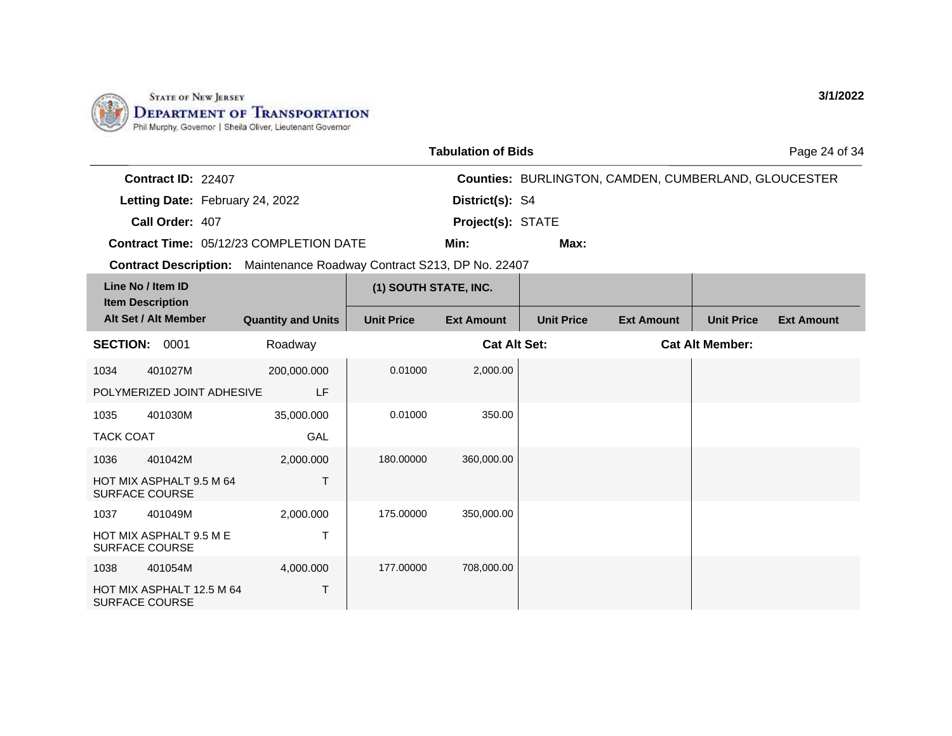

|                  |                                                    |                                                                       |                       | <b>Tabulation of Bids</b> |                   |                                                      |                        | Page 24 of 34     |
|------------------|----------------------------------------------------|-----------------------------------------------------------------------|-----------------------|---------------------------|-------------------|------------------------------------------------------|------------------------|-------------------|
|                  | Contract ID: 22407                                 |                                                                       |                       |                           |                   | Counties: BURLINGTON, CAMDEN, CUMBERLAND, GLOUCESTER |                        |                   |
|                  | Letting Date: February 24, 2022                    |                                                                       |                       | District(s): S4           |                   |                                                      |                        |                   |
|                  | Call Order: 407                                    |                                                                       |                       | Project(s): STATE         |                   |                                                      |                        |                   |
|                  |                                                    | Contract Time: 05/12/23 COMPLETION DATE                               |                       | Min:                      | Max:              |                                                      |                        |                   |
|                  |                                                    | Contract Description: Maintenance Roadway Contract S213, DP No. 22407 |                       |                           |                   |                                                      |                        |                   |
|                  | Line No / Item ID<br><b>Item Description</b>       |                                                                       | (1) SOUTH STATE, INC. |                           |                   |                                                      |                        |                   |
|                  | Alt Set / Alt Member                               | <b>Quantity and Units</b>                                             | <b>Unit Price</b>     | <b>Ext Amount</b>         | <b>Unit Price</b> | <b>Ext Amount</b>                                    | <b>Unit Price</b>      | <b>Ext Amount</b> |
| <b>SECTION:</b>  | 0001                                               | Roadway                                                               |                       | <b>Cat Alt Set:</b>       |                   |                                                      | <b>Cat Alt Member:</b> |                   |
| 1034             | 401027M                                            | 200,000.000                                                           | 0.01000               | 2,000.00                  |                   |                                                      |                        |                   |
|                  | POLYMERIZED JOINT ADHESIVE                         | LF                                                                    |                       |                           |                   |                                                      |                        |                   |
| 1035             | 401030M                                            | 35,000.000                                                            | 0.01000               | 350.00                    |                   |                                                      |                        |                   |
| <b>TACK COAT</b> |                                                    | GAL                                                                   |                       |                           |                   |                                                      |                        |                   |
| 1036             | 401042M                                            | 2,000.000                                                             | 180.00000             | 360,000.00                |                   |                                                      |                        |                   |
|                  | HOT MIX ASPHALT 9.5 M 64<br><b>SURFACE COURSE</b>  | $\top$                                                                |                       |                           |                   |                                                      |                        |                   |
| 1037             | 401049M                                            | 2,000.000                                                             | 175.00000             | 350,000.00                |                   |                                                      |                        |                   |
|                  | HOT MIX ASPHALT 9.5 M E<br><b>SURFACE COURSE</b>   | $\mathsf{T}$                                                          |                       |                           |                   |                                                      |                        |                   |
| 1038             | 401054M                                            | 4,000.000                                                             | 177.00000             | 708,000.00                |                   |                                                      |                        |                   |
|                  | HOT MIX ASPHALT 12.5 M 64<br><b>SURFACE COURSE</b> | Τ                                                                     |                       |                           |                   |                                                      |                        |                   |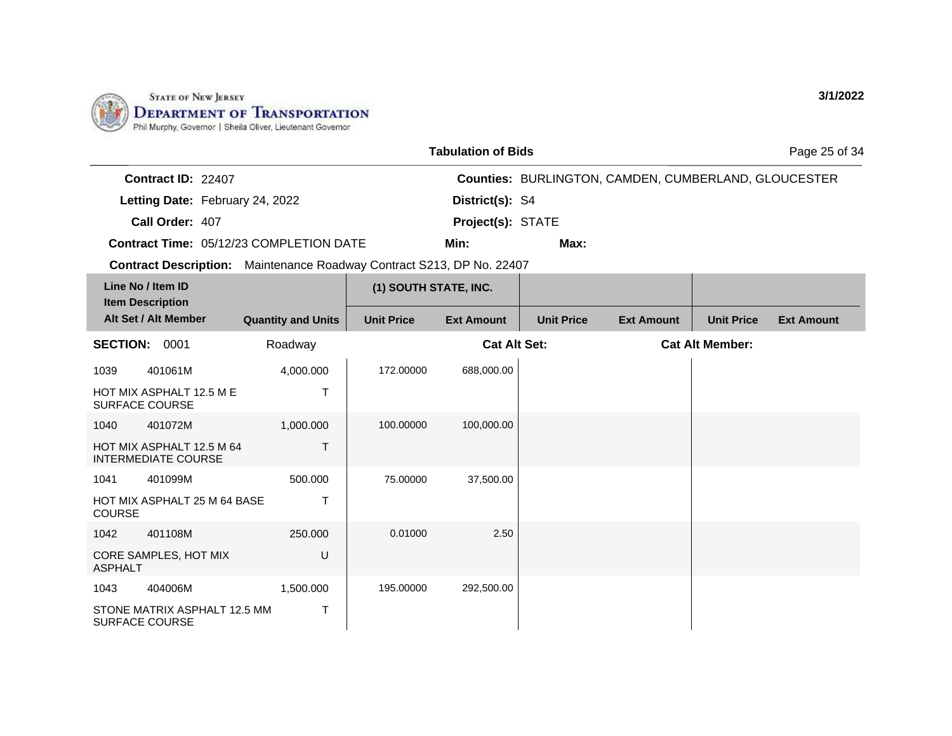

ASPHALT

1043 404006M

SURFACE COURSE

STONE MATRIX ASPHALT 12.5 MM

1,500.000

T

|                                                                       |                           |                       | <b>Tabulation of Bids</b> |                   |                                                             |                        | Page 25 of 34     |
|-----------------------------------------------------------------------|---------------------------|-----------------------|---------------------------|-------------------|-------------------------------------------------------------|------------------------|-------------------|
| Contract ID: 22407                                                    |                           |                       |                           |                   | <b>Counties: BURLINGTON, CAMDEN, CUMBERLAND, GLOUCESTER</b> |                        |                   |
| Letting Date: February 24, 2022                                       |                           |                       | District(s): S4           |                   |                                                             |                        |                   |
| Call Order: 407                                                       |                           |                       | Project(s): STATE         |                   |                                                             |                        |                   |
| <b>Contract Time: 05/12/23 COMPLETION DATE</b>                        |                           |                       | Min:                      | Max:              |                                                             |                        |                   |
| Contract Description: Maintenance Roadway Contract S213, DP No. 22407 |                           |                       |                           |                   |                                                             |                        |                   |
| Line No / Item ID<br><b>Item Description</b>                          |                           | (1) SOUTH STATE, INC. |                           |                   |                                                             |                        |                   |
| Alt Set / Alt Member                                                  | <b>Quantity and Units</b> | <b>Unit Price</b>     | <b>Ext Amount</b>         | <b>Unit Price</b> | <b>Ext Amount</b>                                           | <b>Unit Price</b>      | <b>Ext Amount</b> |
| <b>SECTION:</b><br>0001                                               | Roadway                   |                       | <b>Cat Alt Set:</b>       |                   |                                                             | <b>Cat Alt Member:</b> |                   |
| 401061M<br>1039                                                       | 4,000.000                 | 172.00000             | 688,000.00                |                   |                                                             |                        |                   |
| HOT MIX ASPHALT 12.5 M E<br>SURFACE COURSE                            | T                         |                       |                           |                   |                                                             |                        |                   |
| 401072M<br>1040                                                       | 1,000.000                 | 100.00000             | 100,000.00                |                   |                                                             |                        |                   |
| HOT MIX ASPHALT 12.5 M 64<br><b>INTERMEDIATE COURSE</b>               | T                         |                       |                           |                   |                                                             |                        |                   |
| 401099M<br>1041                                                       | 500.000                   | 75.00000              | 37,500.00                 |                   |                                                             |                        |                   |
| <b>HOT MIX ASPHALT 25 M 64 BASE</b><br><b>COURSE</b>                  | Т                         |                       |                           |                   |                                                             |                        |                   |
| 401108M<br>1042                                                       | 250,000                   | 0.01000               | 2.50                      |                   |                                                             |                        |                   |
| CORE SAMPLES, HOT MIX                                                 | U                         |                       |                           |                   |                                                             |                        |                   |

195.00000 292,500.00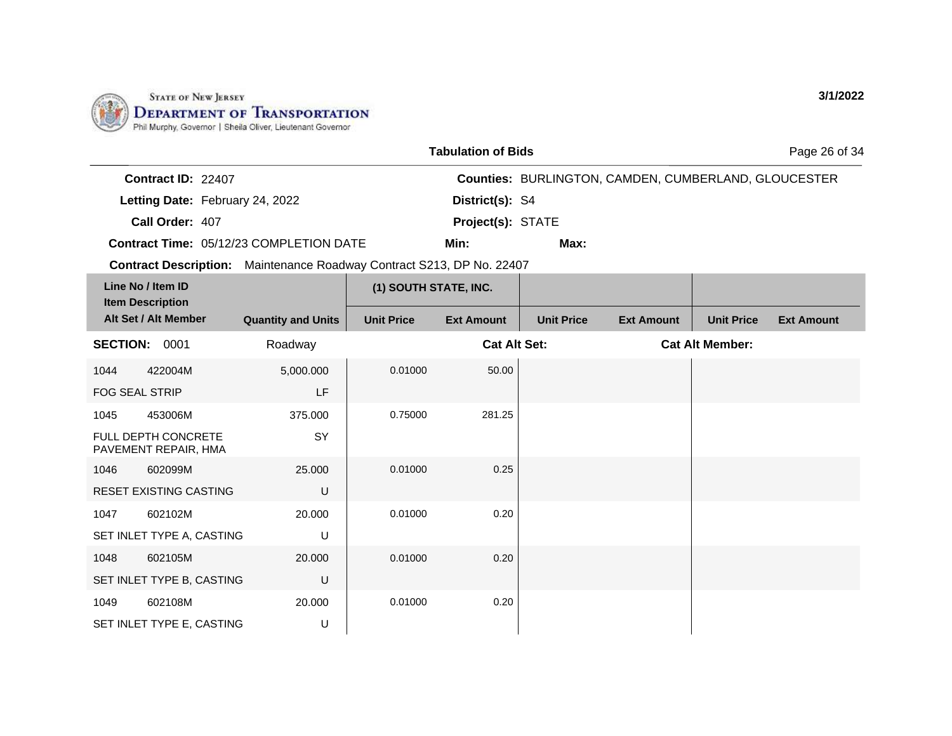

|                                                                       |                           |                       | <b>Tabulation of Bids</b> |                   |                                                      |                        | Page 26 of 34     |
|-----------------------------------------------------------------------|---------------------------|-----------------------|---------------------------|-------------------|------------------------------------------------------|------------------------|-------------------|
| Contract ID: 22407                                                    |                           |                       |                           |                   | Counties: BURLINGTON, CAMDEN, CUMBERLAND, GLOUCESTER |                        |                   |
| Letting Date: February 24, 2022                                       |                           |                       | District(s): S4           |                   |                                                      |                        |                   |
| Call Order: 407                                                       |                           |                       | Project(s): STATE         |                   |                                                      |                        |                   |
| Contract Time: 05/12/23 COMPLETION DATE                               |                           |                       | Min:                      | Max:              |                                                      |                        |                   |
| Contract Description: Maintenance Roadway Contract S213, DP No. 22407 |                           |                       |                           |                   |                                                      |                        |                   |
| Line No / Item ID                                                     |                           | (1) SOUTH STATE, INC. |                           |                   |                                                      |                        |                   |
| <b>Item Description</b><br>Alt Set / Alt Member                       | <b>Quantity and Units</b> | <b>Unit Price</b>     | <b>Ext Amount</b>         | <b>Unit Price</b> | <b>Ext Amount</b>                                    | <b>Unit Price</b>      | <b>Ext Amount</b> |
| <b>SECTION: 0001</b>                                                  | Roadway                   |                       | <b>Cat Alt Set:</b>       |                   |                                                      | <b>Cat Alt Member:</b> |                   |
| 422004M<br>1044                                                       | 5,000.000                 | 0.01000               | 50.00                     |                   |                                                      |                        |                   |
| <b>FOG SEAL STRIP</b>                                                 | LF                        |                       |                           |                   |                                                      |                        |                   |
| 453006M<br>1045                                                       | 375.000                   | 0.75000               | 281.25                    |                   |                                                      |                        |                   |
| FULL DEPTH CONCRETE<br>PAVEMENT REPAIR, HMA                           | SY                        |                       |                           |                   |                                                      |                        |                   |
| 602099M<br>1046                                                       | 25.000                    | 0.01000               | 0.25                      |                   |                                                      |                        |                   |
| <b>RESET EXISTING CASTING</b>                                         | U                         |                       |                           |                   |                                                      |                        |                   |
| 602102M<br>1047                                                       | 20,000                    | 0.01000               | 0.20                      |                   |                                                      |                        |                   |
| SET INLET TYPE A, CASTING                                             | U                         |                       |                           |                   |                                                      |                        |                   |
| 602105M<br>1048                                                       | 20.000                    | 0.01000               | 0.20                      |                   |                                                      |                        |                   |
| SET INLET TYPE B, CASTING                                             | U                         |                       |                           |                   |                                                      |                        |                   |
| 602108M<br>1049                                                       | 20,000                    | 0.01000               | 0.20                      |                   |                                                      |                        |                   |
| SET INLET TYPE E, CASTING                                             | U                         |                       |                           |                   |                                                      |                        |                   |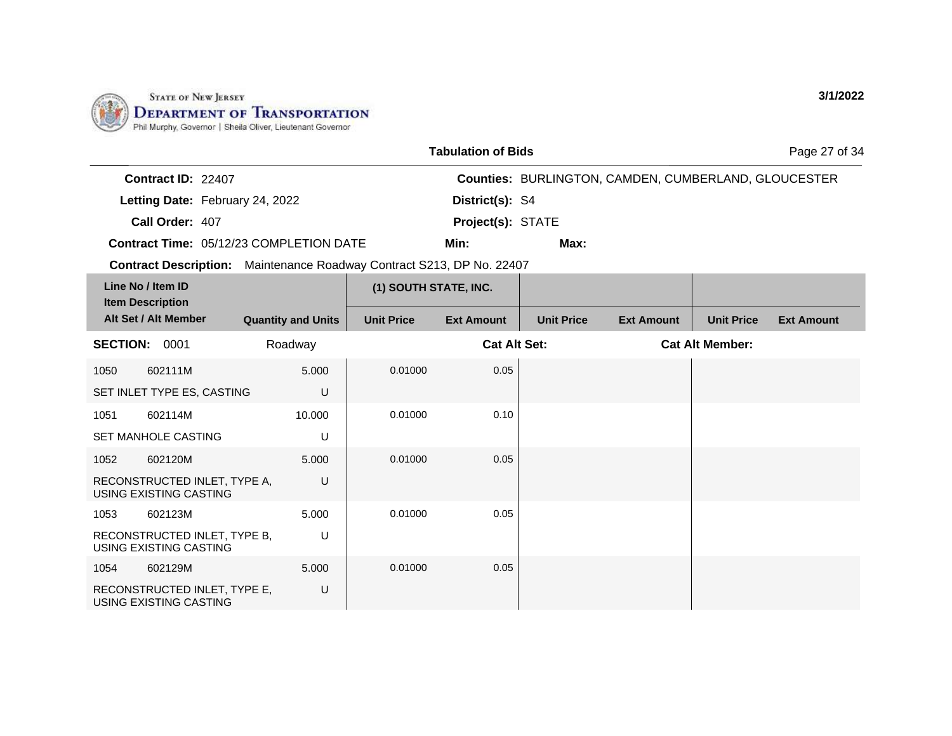

|                                                                       |                           |                       | <b>Tabulation of Bids</b> |                   |                                                             |                        | Page 27 of 34     |
|-----------------------------------------------------------------------|---------------------------|-----------------------|---------------------------|-------------------|-------------------------------------------------------------|------------------------|-------------------|
| Contract ID: 22407                                                    |                           |                       |                           |                   | <b>Counties: BURLINGTON, CAMDEN, CUMBERLAND, GLOUCESTER</b> |                        |                   |
| Letting Date: February 24, 2022                                       |                           |                       | District(s): S4           |                   |                                                             |                        |                   |
| Call Order: 407                                                       |                           |                       | Project(s): STATE         |                   |                                                             |                        |                   |
| Contract Time: 05/12/23 COMPLETION DATE                               |                           |                       | Min:                      | Max:              |                                                             |                        |                   |
| Contract Description: Maintenance Roadway Contract S213, DP No. 22407 |                           |                       |                           |                   |                                                             |                        |                   |
| Line No / Item ID                                                     |                           | (1) SOUTH STATE, INC. |                           |                   |                                                             |                        |                   |
| <b>Item Description</b><br>Alt Set / Alt Member                       | <b>Quantity and Units</b> | <b>Unit Price</b>     | <b>Ext Amount</b>         | <b>Unit Price</b> | <b>Ext Amount</b>                                           | <b>Unit Price</b>      | <b>Ext Amount</b> |
| <b>SECTION: 0001</b>                                                  | Roadway                   |                       | <b>Cat Alt Set:</b>       |                   |                                                             | <b>Cat Alt Member:</b> |                   |
| 602111M<br>1050                                                       | 5.000                     | 0.01000               | 0.05                      |                   |                                                             |                        |                   |
| SET INLET TYPE ES, CASTING                                            | U                         |                       |                           |                   |                                                             |                        |                   |
| 602114M<br>1051                                                       | 10.000                    | 0.01000               | 0.10                      |                   |                                                             |                        |                   |
| <b>SET MANHOLE CASTING</b>                                            | U                         |                       |                           |                   |                                                             |                        |                   |
| 602120M<br>1052                                                       | 5.000                     | 0.01000               | 0.05                      |                   |                                                             |                        |                   |
| RECONSTRUCTED INLET, TYPE A,<br><b>USING EXISTING CASTING</b>         | U                         |                       |                           |                   |                                                             |                        |                   |
| 1053<br>602123M                                                       | 5.000                     | 0.01000               | 0.05                      |                   |                                                             |                        |                   |
| RECONSTRUCTED INLET, TYPE B,<br>USING EXISTING CASTING                | U                         |                       |                           |                   |                                                             |                        |                   |
| 602129M<br>1054                                                       | 5.000                     | 0.01000               | 0.05                      |                   |                                                             |                        |                   |
| RECONSTRUCTED INLET, TYPE E,<br>USING EXISTING CASTING                | U                         |                       |                           |                   |                                                             |                        |                   |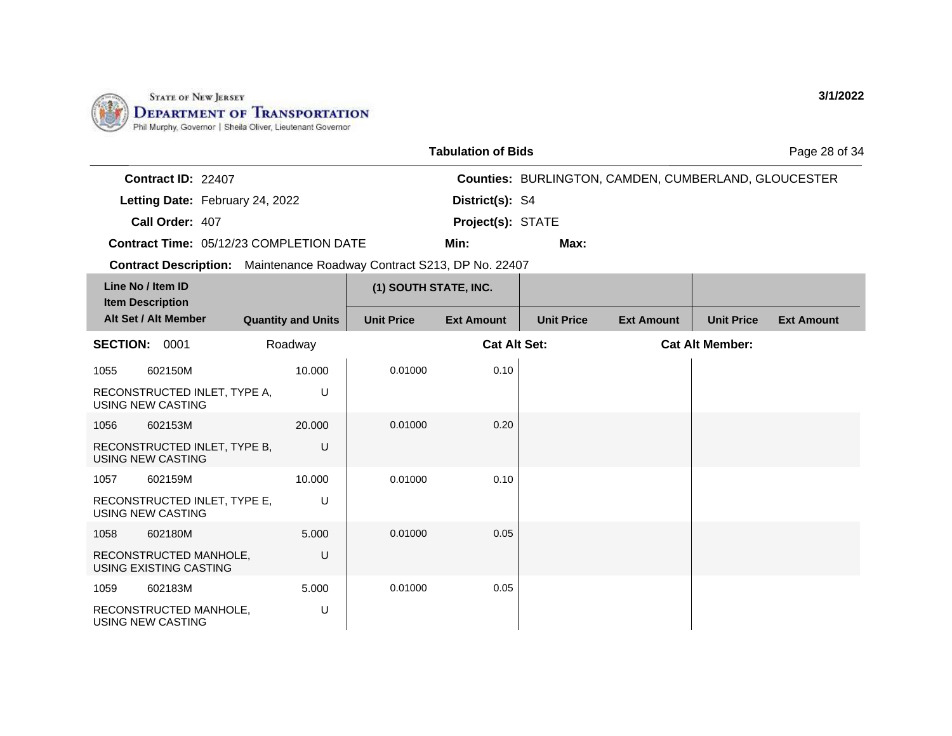

|                    |                                                | <b>Tabulation of Bids</b> |                                                             | Page 28 of 34 |
|--------------------|------------------------------------------------|---------------------------|-------------------------------------------------------------|---------------|
| Contract ID: 22407 |                                                |                           | <b>Counties: BURLINGTON, CAMDEN, CUMBERLAND, GLOUCESTER</b> |               |
|                    | Letting Date: February 24, 2022                | District(s): S4           |                                                             |               |
| Call Order: 407    |                                                | <b>Project(s): STATE</b>  |                                                             |               |
|                    | <b>Contract Time: 05/12/23 COMPLETION DATE</b> | Min:                      | Max:                                                        |               |

**Contract Description:** Maintenance Roadway Contract S213, DP No. 22407

| Line No / Item ID<br><b>Item Description</b>             |                           | (1) SOUTH STATE, INC. |                     |                   |                        |                   |                   |
|----------------------------------------------------------|---------------------------|-----------------------|---------------------|-------------------|------------------------|-------------------|-------------------|
| Alt Set / Alt Member                                     | <b>Quantity and Units</b> | <b>Unit Price</b>     | <b>Ext Amount</b>   | <b>Unit Price</b> | <b>Ext Amount</b>      | <b>Unit Price</b> | <b>Ext Amount</b> |
| <b>SECTION:</b><br>0001<br>Roadway                       |                           |                       | <b>Cat Alt Set:</b> |                   | <b>Cat Alt Member:</b> |                   |                   |
| 602150M<br>1055                                          | 10.000                    | 0.01000               | 0.10                |                   |                        |                   |                   |
| RECONSTRUCTED INLET, TYPE A,<br><b>USING NEW CASTING</b> | U                         |                       |                     |                   |                        |                   |                   |
| 1056<br>602153M                                          | 20.000                    | 0.01000               | 0.20                |                   |                        |                   |                   |
| RECONSTRUCTED INLET, TYPE B,<br><b>USING NEW CASTING</b> | U                         |                       |                     |                   |                        |                   |                   |
| 1057<br>602159M                                          | 10.000                    | 0.01000               | 0.10                |                   |                        |                   |                   |
| RECONSTRUCTED INLET, TYPE E,<br>USING NEW CASTING        | U                         |                       |                     |                   |                        |                   |                   |
| 1058<br>602180M                                          | 5.000                     | 0.01000               | 0.05                |                   |                        |                   |                   |
| RECONSTRUCTED MANHOLE,<br>USING EXISTING CASTING         | U                         |                       |                     |                   |                        |                   |                   |
| 1059<br>602183M                                          | 5.000                     | 0.01000               | 0.05                |                   |                        |                   |                   |
| RECONSTRUCTED MANHOLE,<br>USING NEW CASTING              | U                         |                       |                     |                   |                        |                   |                   |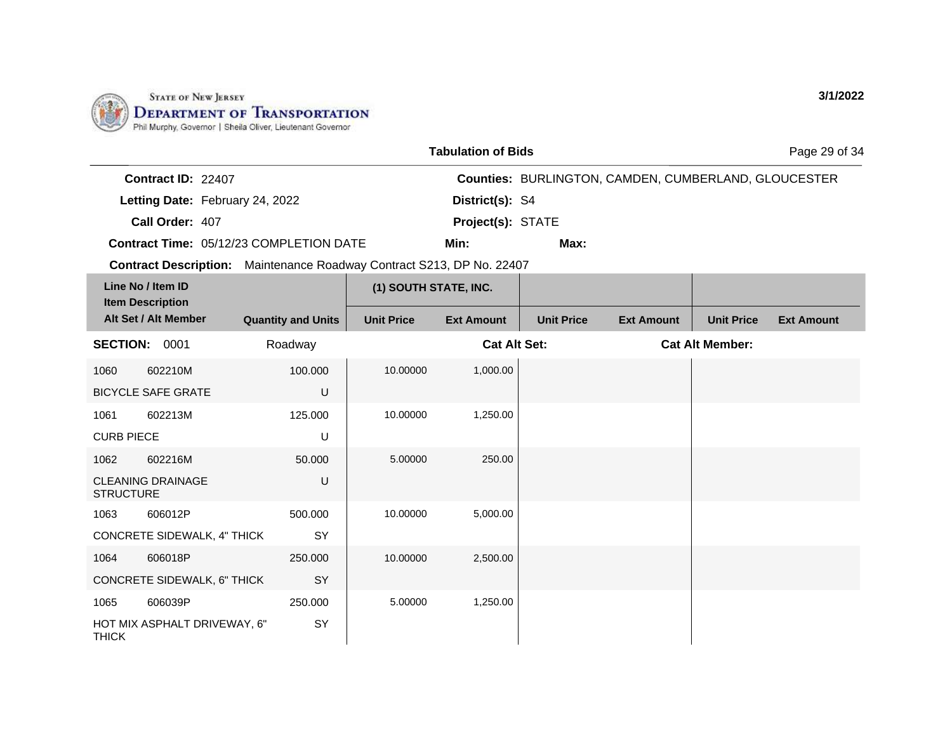

|                                              |                                 |                                                                       |                       | <b>Tabulation of Bids</b> |                   |                                                             |                        | Page 29 of 34     |
|----------------------------------------------|---------------------------------|-----------------------------------------------------------------------|-----------------------|---------------------------|-------------------|-------------------------------------------------------------|------------------------|-------------------|
|                                              | Contract ID: 22407              |                                                                       |                       |                           |                   | <b>Counties: BURLINGTON, CAMDEN, CUMBERLAND, GLOUCESTER</b> |                        |                   |
|                                              | Letting Date: February 24, 2022 |                                                                       |                       | District(s): S4           |                   |                                                             |                        |                   |
|                                              | Call Order: 407                 |                                                                       |                       | Project(s): STATE         |                   |                                                             |                        |                   |
|                                              |                                 | Contract Time: 05/12/23 COMPLETION DATE                               |                       | Min:                      | Max:              |                                                             |                        |                   |
|                                              |                                 | Contract Description: Maintenance Roadway Contract S213, DP No. 22407 |                       |                           |                   |                                                             |                        |                   |
| Line No / Item ID<br><b>Item Description</b> |                                 |                                                                       | (1) SOUTH STATE, INC. |                           |                   |                                                             |                        |                   |
|                                              | Alt Set / Alt Member            | <b>Quantity and Units</b>                                             | <b>Unit Price</b>     | <b>Ext Amount</b>         | <b>Unit Price</b> | <b>Ext Amount</b>                                           | <b>Unit Price</b>      | <b>Ext Amount</b> |
|                                              | SECTION: 0001                   | Roadway                                                               |                       | <b>Cat Alt Set:</b>       |                   |                                                             | <b>Cat Alt Member:</b> |                   |
| 1060                                         | 602210M                         | 100.000                                                               | 10.00000              | 1,000.00                  |                   |                                                             |                        |                   |
|                                              | <b>BICYCLE SAFE GRATE</b>       | U                                                                     |                       |                           |                   |                                                             |                        |                   |
| 1061                                         | 602213M                         | 125.000                                                               | 10.00000              | 1,250.00                  |                   |                                                             |                        |                   |
| <b>CURB PIECE</b>                            |                                 | U                                                                     |                       |                           |                   |                                                             |                        |                   |
| 1062                                         | 602216M                         | 50,000                                                                | 5.00000               | 250.00                    |                   |                                                             |                        |                   |
| <b>STRUCTURE</b>                             | <b>CLEANING DRAINAGE</b>        | U                                                                     |                       |                           |                   |                                                             |                        |                   |
| 1063                                         | 606012P                         | 500.000                                                               | 10.00000              | 5,000.00                  |                   |                                                             |                        |                   |
|                                              | CONCRETE SIDEWALK, 4" THICK     | SY                                                                    |                       |                           |                   |                                                             |                        |                   |
| 1064                                         | 606018P                         | 250,000                                                               | 10.00000              | 2,500.00                  |                   |                                                             |                        |                   |
|                                              | CONCRETE SIDEWALK, 6" THICK     | SY                                                                    |                       |                           |                   |                                                             |                        |                   |
| 1065                                         | 606039P                         | 250.000                                                               | 5.00000               | 1,250.00                  |                   |                                                             |                        |                   |
| <b>THICK</b>                                 | HOT MIX ASPHALT DRIVEWAY, 6"    | <b>SY</b>                                                             |                       |                           |                   |                                                             |                        |                   |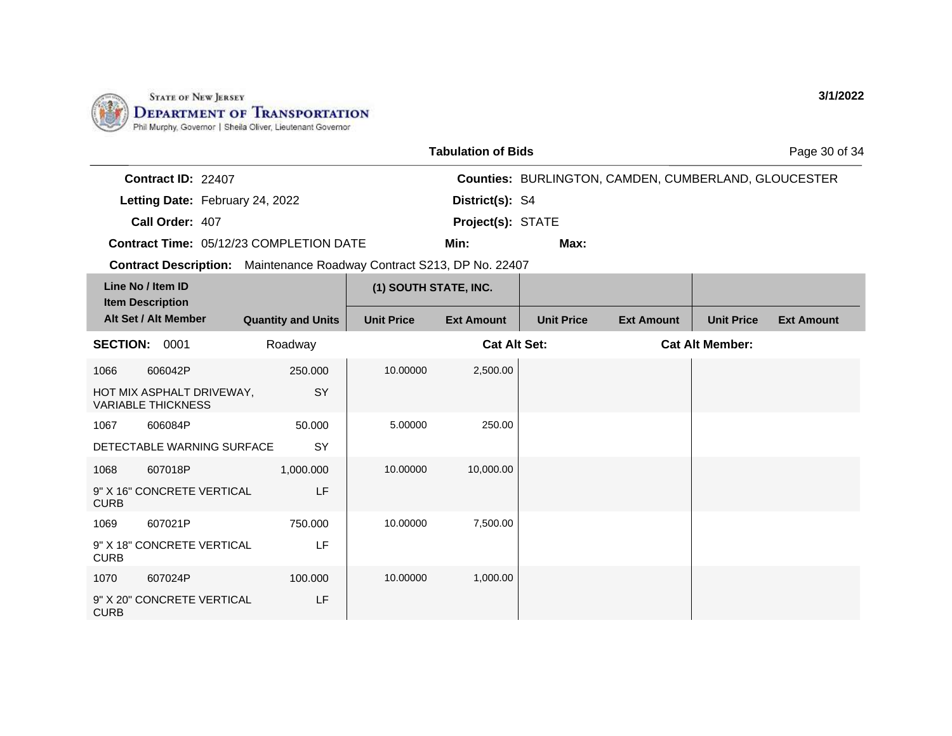

|             |                                                                              |                           |                       | <b>Tabulation of Bids</b> |                                                      |                   |                        | Page 30 of 34     |
|-------------|------------------------------------------------------------------------------|---------------------------|-----------------------|---------------------------|------------------------------------------------------|-------------------|------------------------|-------------------|
|             | Contract ID: 22407                                                           |                           |                       |                           | Counties: BURLINGTON, CAMDEN, CUMBERLAND, GLOUCESTER |                   |                        |                   |
|             | Letting Date: February 24, 2022                                              |                           |                       | District(s): S4           |                                                      |                   |                        |                   |
|             | Call Order: 407                                                              |                           |                       | Project(s): STATE         |                                                      |                   |                        |                   |
|             | Contract Time: 05/12/23 COMPLETION DATE                                      |                           |                       | Min:                      | Max:                                                 |                   |                        |                   |
|             | <b>Contract Description:</b> Maintenance Roadway Contract S213, DP No. 22407 |                           |                       |                           |                                                      |                   |                        |                   |
|             | Line No / Item ID                                                            |                           | (1) SOUTH STATE, INC. |                           |                                                      |                   |                        |                   |
|             | <b>Item Description</b><br>Alt Set / Alt Member                              | <b>Quantity and Units</b> | <b>Unit Price</b>     | <b>Ext Amount</b>         | <b>Unit Price</b>                                    | <b>Ext Amount</b> | <b>Unit Price</b>      | <b>Ext Amount</b> |
|             | <b>SECTION: 0001</b>                                                         | Roadway                   |                       | <b>Cat Alt Set:</b>       |                                                      |                   | <b>Cat Alt Member:</b> |                   |
| 1066        | 606042P                                                                      | 250,000                   | 10.00000              | 2,500.00                  |                                                      |                   |                        |                   |
|             | HOT MIX ASPHALT DRIVEWAY,<br><b>VARIABLE THICKNESS</b>                       | SY                        |                       |                           |                                                      |                   |                        |                   |
| 1067        | 606084P                                                                      | 50.000                    | 5.00000               | 250.00                    |                                                      |                   |                        |                   |
|             | DETECTABLE WARNING SURFACE                                                   | <b>SY</b>                 |                       |                           |                                                      |                   |                        |                   |
| 1068        | 607018P                                                                      | 1,000.000                 | 10.00000              | 10,000.00                 |                                                      |                   |                        |                   |
| <b>CURB</b> | 9" X 16" CONCRETE VERTICAL                                                   | LF                        |                       |                           |                                                      |                   |                        |                   |
| 1069        | 607021P                                                                      | 750.000                   | 10.00000              | 7,500.00                  |                                                      |                   |                        |                   |
| <b>CURB</b> | 9" X 18" CONCRETE VERTICAL                                                   | LF                        |                       |                           |                                                      |                   |                        |                   |
| 1070        | 607024P                                                                      | 100.000                   | 10.00000              | 1,000.00                  |                                                      |                   |                        |                   |
| <b>CURB</b> | 9" X 20" CONCRETE VERTICAL                                                   | LF                        |                       |                           |                                                      |                   |                        |                   |

**3/1/2022**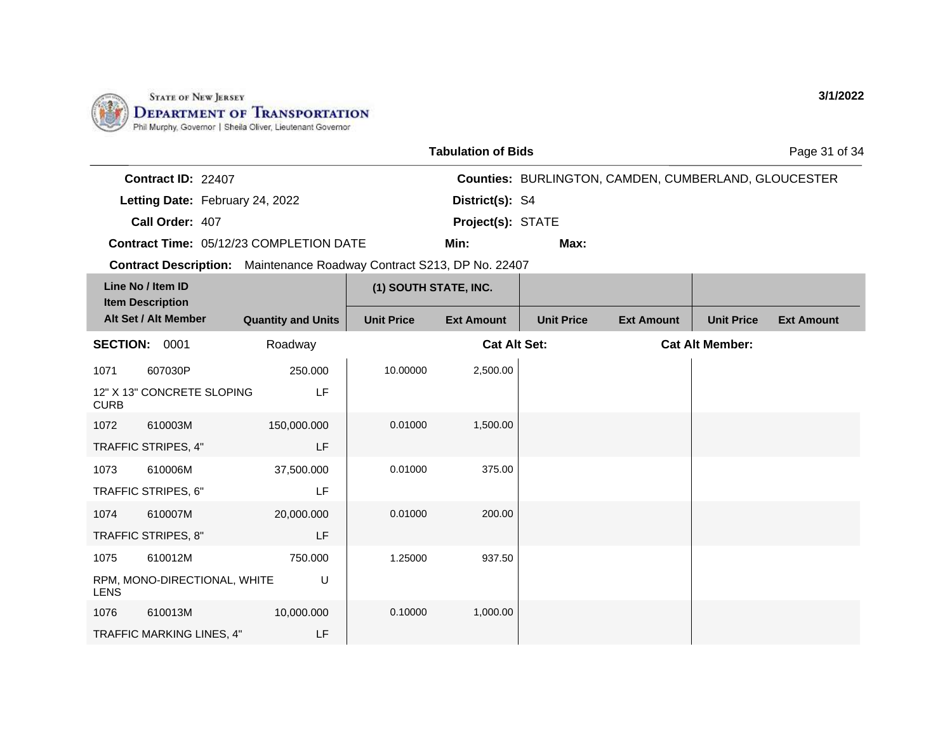

TRAFFIC STRIPES, 8"

RPM, MONO-DIRECTIONAL, WHITE

TRAFFIC MARKING LINES, 4"

1075 610012M

1076 610013M

LENS

LF

U

LF

750.000

10,000.000

|                                                                              |                                 |                                                |                       | <b>Tabulation of Bids</b> |                                                             |                   |                        | Page 31 of 34     |
|------------------------------------------------------------------------------|---------------------------------|------------------------------------------------|-----------------------|---------------------------|-------------------------------------------------------------|-------------------|------------------------|-------------------|
|                                                                              | Contract ID: 22407              |                                                |                       |                           | <b>Counties: BURLINGTON, CAMDEN, CUMBERLAND, GLOUCESTER</b> |                   |                        |                   |
|                                                                              | Letting Date: February 24, 2022 |                                                |                       | District(s): S4           |                                                             |                   |                        |                   |
|                                                                              | Call Order: 407                 |                                                |                       | Project(s): STATE         |                                                             |                   |                        |                   |
|                                                                              |                                 | <b>Contract Time: 05/12/23 COMPLETION DATE</b> |                       | Min:                      | Max:                                                        |                   |                        |                   |
| <b>Contract Description:</b> Maintenance Roadway Contract S213, DP No. 22407 |                                 |                                                |                       |                           |                                                             |                   |                        |                   |
| Line No / Item ID<br><b>Item Description</b>                                 |                                 |                                                | (1) SOUTH STATE, INC. |                           |                                                             |                   |                        |                   |
| Alt Set / Alt Member                                                         |                                 | <b>Quantity and Units</b>                      | <b>Unit Price</b>     | <b>Ext Amount</b>         | <b>Unit Price</b>                                           | <b>Ext Amount</b> | <b>Unit Price</b>      | <b>Ext Amount</b> |
| <b>SECTION:</b>                                                              | 0001                            | Roadway                                        | <b>Cat Alt Set:</b>   |                           |                                                             |                   | <b>Cat Alt Member:</b> |                   |
| 1071                                                                         | 607030P                         | 250,000                                        | 10.00000              | 2,500.00                  |                                                             |                   |                        |                   |
| <b>CURB</b>                                                                  | 12" X 13" CONCRETE SLOPING      | LF                                             |                       |                           |                                                             |                   |                        |                   |
| 1072                                                                         | 610003M                         | 150,000.000                                    | 0.01000               | 1,500.00                  |                                                             |                   |                        |                   |
|                                                                              | TRAFFIC STRIPES, 4"             | LF                                             |                       |                           |                                                             |                   |                        |                   |
| 1073                                                                         | 610006M                         | 37,500.000                                     | 0.01000               | 375.00                    |                                                             |                   |                        |                   |
|                                                                              | TRAFFIC STRIPES, 6"             | LF                                             |                       |                           |                                                             |                   |                        |                   |
| 1074                                                                         | 610007M                         | 20,000,000                                     | 0.01000               | 200.00                    |                                                             |                   |                        |                   |

1.25000 937.50

0.10000 1,000.00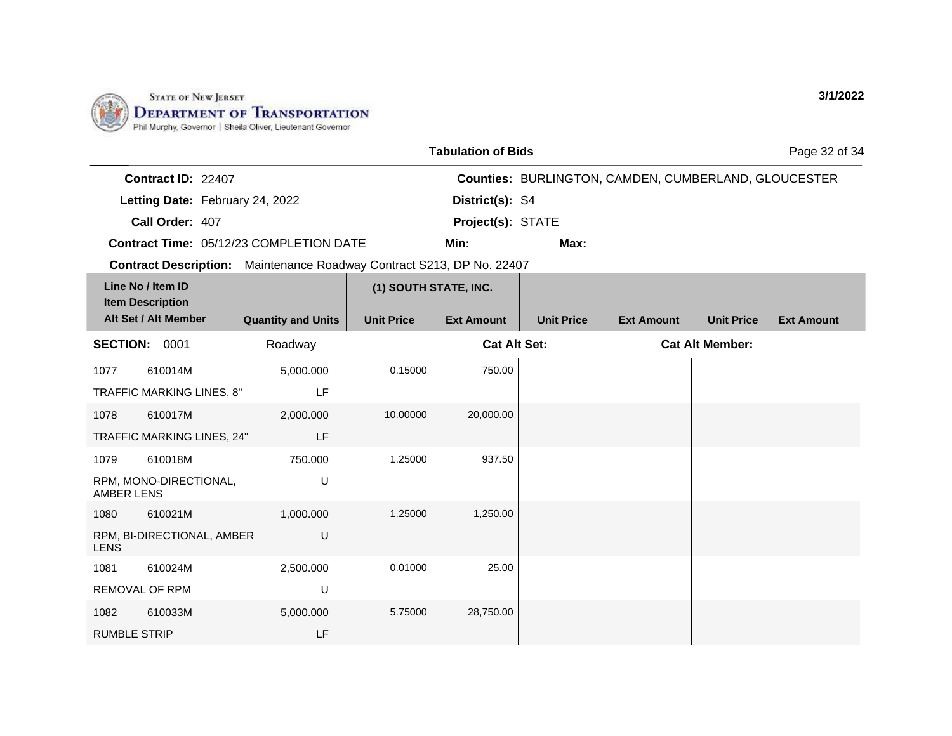

|                                                                                 |                                              |                           |                       | <b>Tabulation of Bids</b> |                   |                                                             |                        | Page 32 of 34     |
|---------------------------------------------------------------------------------|----------------------------------------------|---------------------------|-----------------------|---------------------------|-------------------|-------------------------------------------------------------|------------------------|-------------------|
|                                                                                 | <b>Contract ID: 22407</b>                    |                           |                       |                           |                   | <b>Counties: BURLINGTON, CAMDEN, CUMBERLAND, GLOUCESTER</b> |                        |                   |
|                                                                                 | Letting Date: February 24, 2022              |                           |                       | District(s): S4           |                   |                                                             |                        |                   |
|                                                                                 | Call Order: 407                              |                           |                       | Project(s): STATE         |                   |                                                             |                        |                   |
| Contract Time: 05/12/23 COMPLETION DATE                                         |                                              |                           | Min:                  | Max:                      |                   |                                                             |                        |                   |
| Maintenance Roadway Contract S213, DP No. 22407<br><b>Contract Description:</b> |                                              |                           |                       |                           |                   |                                                             |                        |                   |
|                                                                                 | Line No / Item ID<br><b>Item Description</b> |                           | (1) SOUTH STATE, INC. |                           |                   |                                                             |                        |                   |
|                                                                                 | Alt Set / Alt Member                         | <b>Quantity and Units</b> | <b>Unit Price</b>     | <b>Ext Amount</b>         | <b>Unit Price</b> | <b>Ext Amount</b>                                           | <b>Unit Price</b>      | <b>Ext Amount</b> |
| <b>SECTION:</b>                                                                 | 0001                                         | Roadway                   |                       | <b>Cat Alt Set:</b>       |                   |                                                             | <b>Cat Alt Member:</b> |                   |
| 1077                                                                            | 610014M                                      | 5,000.000                 | 0.15000               | 750.00                    |                   |                                                             |                        |                   |
| TRAFFIC MARKING LINES, 8"                                                       |                                              | LF                        |                       |                           |                   |                                                             |                        |                   |
| 1078<br>610017M                                                                 |                                              | 2,000.000                 | 10.00000              | 20,000.00                 |                   |                                                             |                        |                   |

| TRAFFIC MARKING LINES, 8"                 | LF        |          |           |  |
|-------------------------------------------|-----------|----------|-----------|--|
| 610017M<br>1078                           | 2,000.000 | 10.00000 | 20,000.00 |  |
| TRAFFIC MARKING LINES, 24"                | LF        |          |           |  |
| 610018M<br>1079                           | 750.000   | 1.25000  | 937.50    |  |
| RPM, MONO-DIRECTIONAL,<br>AMBER LENS      | U         |          |           |  |
| 610021M<br>1080                           | 1,000.000 | 1.25000  | 1,250.00  |  |
| RPM, BI-DIRECTIONAL, AMBER<br><b>LENS</b> | U         |          |           |  |
| 610024M<br>1081                           | 2,500.000 | 0.01000  | 25.00     |  |
| <b>REMOVAL OF RPM</b>                     | U         |          |           |  |
| 610033M<br>1082                           | 5,000.000 | 5.75000  | 28,750.00 |  |
| <b>RUMBLE STRIP</b>                       | LF        |          |           |  |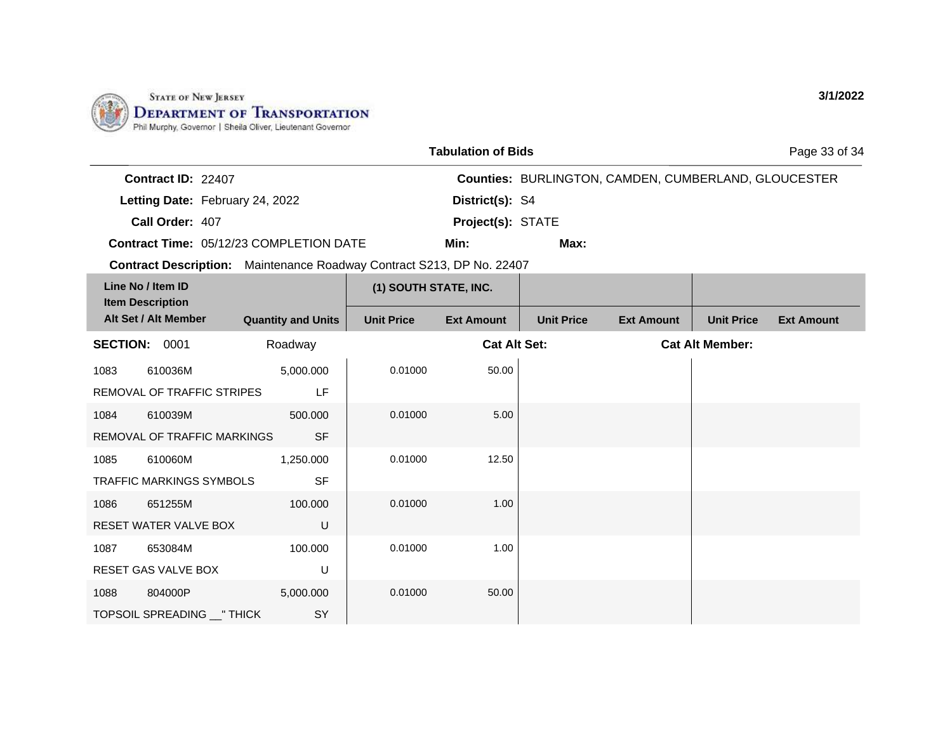

| <b>Tabulation of Bids</b>                      |                                                 |                       |                     |                                                             |                   | Page 33 of 34          |                   |
|------------------------------------------------|-------------------------------------------------|-----------------------|---------------------|-------------------------------------------------------------|-------------------|------------------------|-------------------|
| Contract ID: 22407                             |                                                 |                       |                     | <b>Counties: BURLINGTON, CAMDEN, CUMBERLAND, GLOUCESTER</b> |                   |                        |                   |
| Letting Date: February 24, 2022                |                                                 |                       | District(s): S4     |                                                             |                   |                        |                   |
| Call Order: 407                                |                                                 |                       | Project(s): STATE   |                                                             |                   |                        |                   |
| <b>Contract Time: 05/12/23 COMPLETION DATE</b> |                                                 |                       | Min:                | Max:                                                        |                   |                        |                   |
| <b>Contract Description:</b>                   | Maintenance Roadway Contract S213, DP No. 22407 |                       |                     |                                                             |                   |                        |                   |
| Line No / Item ID<br><b>Item Description</b>   |                                                 | (1) SOUTH STATE, INC. |                     |                                                             |                   |                        |                   |
| Alt Set / Alt Member                           | <b>Quantity and Units</b>                       | <b>Unit Price</b>     | <b>Ext Amount</b>   | <b>Unit Price</b>                                           | <b>Ext Amount</b> | <b>Unit Price</b>      | <b>Ext Amount</b> |
| <b>SECTION:</b><br>0001<br>Roadway             |                                                 |                       | <b>Cat Alt Set:</b> |                                                             |                   | <b>Cat Alt Member:</b> |                   |
| 1083<br>610036M                                | 5,000.000                                       | 0.01000               | 50.00               |                                                             |                   |                        |                   |
| REMOVAL OF TRAFFIC STRIPES                     | LF                                              |                       |                     |                                                             |                   |                        |                   |
| 1084<br>610039M                                | 500,000                                         | 0.01000               | 5.00                |                                                             |                   |                        |                   |
|                                                | $\sim$ $-$                                      |                       |                     |                                                             |                   |                        |                   |

| 1084 | 610039M                         | 500.000   | 0.01000 | 5.00  |  |
|------|---------------------------------|-----------|---------|-------|--|
|      | REMOVAL OF TRAFFIC MARKINGS     | <b>SF</b> |         |       |  |
| 1085 | 610060M                         | 1,250.000 | 0.01000 | 12.50 |  |
|      | <b>TRAFFIC MARKINGS SYMBOLS</b> | <b>SF</b> |         |       |  |
| 1086 | 651255M                         | 100.000   | 0.01000 | 1.00  |  |
|      | RESET WATER VALVE BOX           | $\sf U$   |         |       |  |
| 1087 | 653084M                         | 100.000   | 0.01000 | 1.00  |  |
|      | <b>RESET GAS VALVE BOX</b>      | U         |         |       |  |
| 1088 | 804000P                         | 5,000.000 | 0.01000 | 50.00 |  |
|      | TOPSOIL SPREADING __ " THICK    | SY        |         |       |  |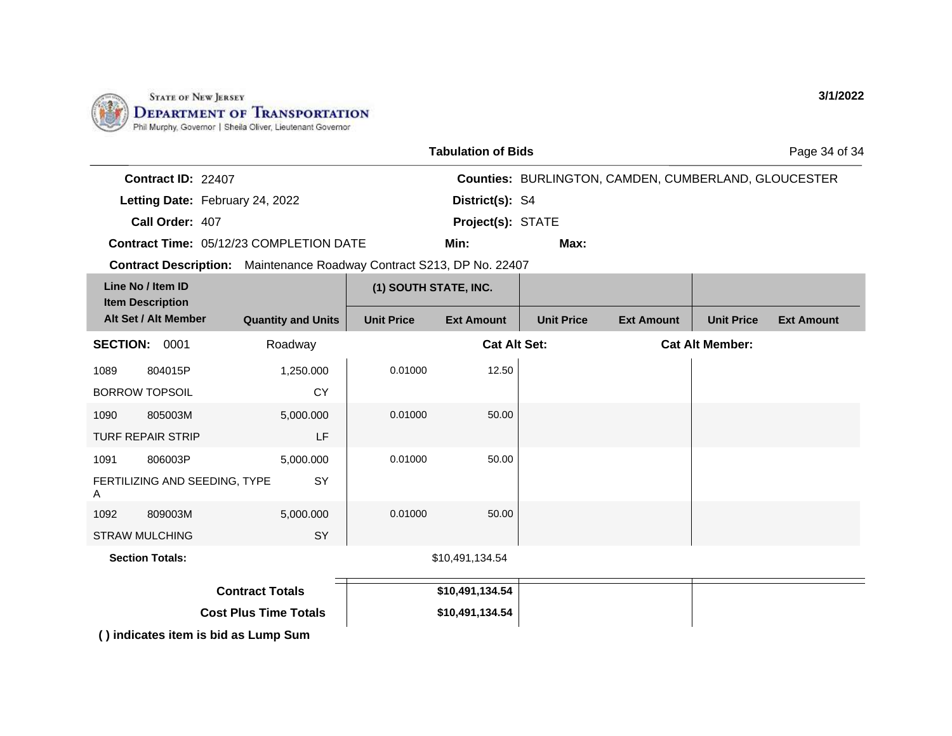

|                    |                                                | <b>Tabulation of Bids</b> |                                                             | Page 34 of 34 |
|--------------------|------------------------------------------------|---------------------------|-------------------------------------------------------------|---------------|
| Contract ID: 22407 |                                                |                           | <b>Counties: BURLINGTON, CAMDEN, CUMBERLAND, GLOUCESTER</b> |               |
|                    | Letting Date: February 24, 2022                | District(s): S4           |                                                             |               |
| Call Order: 407    |                                                | <b>Project(s): STATE</b>  |                                                             |               |
|                    | <b>Contract Time: 05/12/23 COMPLETION DATE</b> | Min:                      | Max:                                                        |               |

**Contract Description:** Maintenance Roadway Contract S213, DP No. 22407

| Line No / Item ID<br><b>Item Description</b><br>Alt Set / Alt Member |                               |                           | (1) SOUTH STATE, INC. |                     |                   |                   |                        |                   |
|----------------------------------------------------------------------|-------------------------------|---------------------------|-----------------------|---------------------|-------------------|-------------------|------------------------|-------------------|
|                                                                      |                               | <b>Quantity and Units</b> | <b>Unit Price</b>     | <b>Ext Amount</b>   | <b>Unit Price</b> | <b>Ext Amount</b> | <b>Unit Price</b>      | <b>Ext Amount</b> |
| <b>SECTION:</b>                                                      | 0001                          | Roadway                   |                       | <b>Cat Alt Set:</b> |                   |                   | <b>Cat Alt Member:</b> |                   |
| 1089                                                                 | 804015P                       | 1,250.000                 | 0.01000               | 12.50               |                   |                   |                        |                   |
|                                                                      | <b>BORROW TOPSOIL</b>         | <b>CY</b>                 |                       |                     |                   |                   |                        |                   |
| 1090                                                                 | 805003M                       | 5,000.000                 | 0.01000               | 50.00               |                   |                   |                        |                   |
|                                                                      | <b>TURF REPAIR STRIP</b>      | LF                        |                       |                     |                   |                   |                        |                   |
| 1091                                                                 | 806003P                       | 5,000.000                 | 0.01000               | 50.00               |                   |                   |                        |                   |
| A                                                                    | FERTILIZING AND SEEDING, TYPE | SY                        |                       |                     |                   |                   |                        |                   |
| 1092                                                                 | 809003M                       | 5,000.000                 | 0.01000               | 50.00               |                   |                   |                        |                   |
|                                                                      | <b>STRAW MULCHING</b>         | <b>SY</b>                 |                       |                     |                   |                   |                        |                   |
|                                                                      | <b>Section Totals:</b>        |                           |                       | \$10,491,134.54     |                   |                   |                        |                   |

| <b>Contract Totals</b>       | \$10,491,134.54 |  |
|------------------------------|-----------------|--|
| <b>Cost Plus Time Totals</b> | \$10,491,134.54 |  |

**( ) indicates item is bid as Lump Sum**